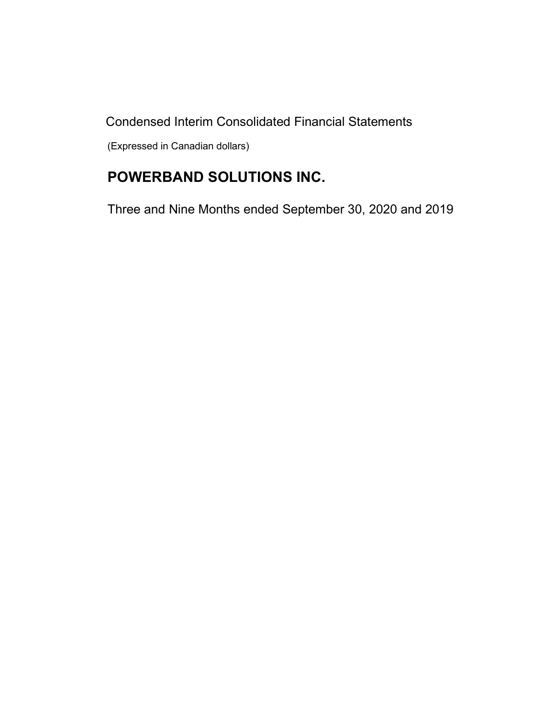Condensed Interim Consolidated Financial Statements

(Expressed in Canadian dollars)

# POWERBAND SOLUTIONS INC.

Three and Nine Months ended September 30, 2020 and 2019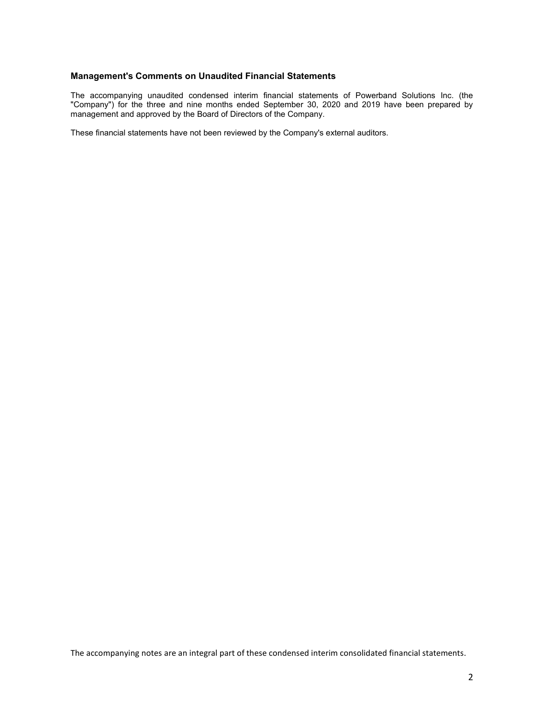#### Management's Comments on Unaudited Financial Statements

The accompanying unaudited condensed interim financial statements of Powerband Solutions Inc. (the "Company") for the three and nine months ended September 30, 2020 and 2019 have been prepared by management and approved by the Board of Directors of the Company.

These financial statements have not been reviewed by the Company's external auditors.

The accompanying notes are an integral part of these condensed interim consolidated financial statements.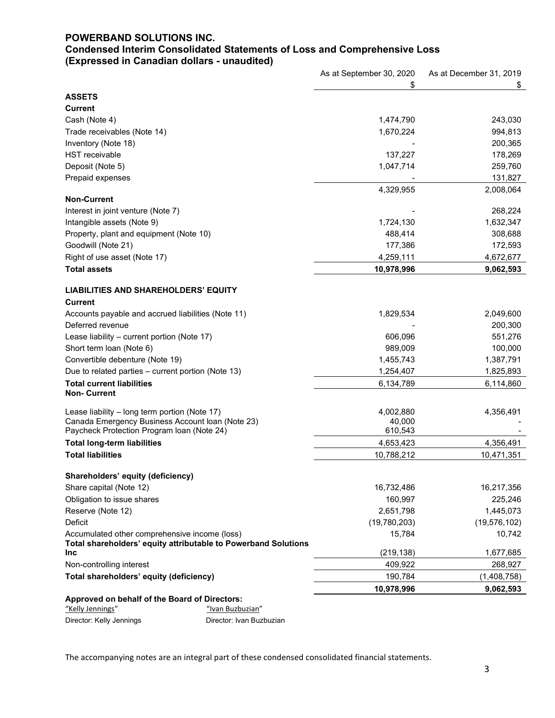# POWERBAND SOLUTIONS INC. Condensed Interim Consolidated Statements of Loss and Comprehensive Loss (Expressed in Canadian dollars - unaudited)

|                                                                                                   | As at September 30, 2020 | As at December 31, 2019 |
|---------------------------------------------------------------------------------------------------|--------------------------|-------------------------|
|                                                                                                   | \$                       | \$                      |
| <b>ASSETS</b>                                                                                     |                          |                         |
| <b>Current</b>                                                                                    |                          |                         |
| Cash (Note 4)                                                                                     | 1,474,790                | 243,030                 |
| Trade receivables (Note 14)                                                                       | 1,670,224                | 994,813                 |
| Inventory (Note 18)                                                                               |                          | 200,365                 |
| <b>HST</b> receivable                                                                             | 137,227                  | 178,269                 |
| Deposit (Note 5)                                                                                  | 1,047,714                | 259,760                 |
| Prepaid expenses                                                                                  |                          | 131,827                 |
|                                                                                                   | 4,329,955                | 2,008,064               |
| <b>Non-Current</b>                                                                                |                          |                         |
| Interest in joint venture (Note 7)                                                                |                          | 268,224                 |
| Intangible assets (Note 9)                                                                        | 1,724,130                | 1,632,347               |
| Property, plant and equipment (Note 10)                                                           | 488,414                  | 308,688                 |
| Goodwill (Note 21)                                                                                | 177,386                  | 172,593                 |
| Right of use asset (Note 17)                                                                      | 4,259,111                | 4,672,677               |
| <b>Total assets</b>                                                                               | 10,978,996               | 9,062,593               |
|                                                                                                   |                          |                         |
| <b>LIABILITIES AND SHAREHOLDERS' EQUITY</b>                                                       |                          |                         |
| <b>Current</b>                                                                                    |                          |                         |
| Accounts payable and accrued liabilities (Note 11)                                                | 1,829,534                | 2,049,600               |
| Deferred revenue                                                                                  |                          | 200,300                 |
| Lease liability - current portion (Note 17)                                                       | 606,096                  | 551,276                 |
| Short term loan (Note 6)                                                                          | 989,009                  | 100,000                 |
| Convertible debenture (Note 19)                                                                   | 1,455,743                | 1,387,791               |
| Due to related parties - current portion (Note 13)                                                | 1,254,407                | 1,825,893               |
| Total current liabilities                                                                         | 6,134,789                | 6,114,860               |
| <b>Non-Current</b>                                                                                |                          |                         |
|                                                                                                   |                          |                         |
| Lease liability - long term portion (Note 17)<br>Canada Emergency Business Account Ioan (Note 23) | 4,002,880<br>40,000      | 4,356,491               |
| Paycheck Protection Program Ioan (Note 24)                                                        | 610,543                  |                         |
| <b>Total long-term liabilities</b>                                                                | 4,653,423                | 4,356,491               |
| <b>Total liabilities</b>                                                                          | 10,788,212               | 10,471,351              |
|                                                                                                   |                          |                         |
| Shareholders' equity (deficiency)                                                                 |                          |                         |
| Share capital (Note 12)                                                                           | 16,732,486               | 16,217,356              |
| Obligation to issue shares                                                                        | 160,997                  | 225,246                 |
| Reserve (Note 12)                                                                                 | 2,651,798                | 1,445,073               |
| Deficit                                                                                           | (19,780,203)             | (19, 576, 102)          |
| Accumulated other comprehensive income (loss)                                                     | 15,784                   | 10,742                  |
| Total shareholders' equity attributable to Powerband Solutions                                    |                          |                         |
| Inc                                                                                               | (219, 138)               | 1,677,685               |
| Non-controlling interest                                                                          | 409,922                  | 268,927                 |
| Total shareholders' equity (deficiency)                                                           | 190,784                  | (1,408,758)             |
|                                                                                                   | 10,978,996               | 9,062,593               |
| Approved on behalf of the Board of Directors:                                                     |                          |                         |

"<br>
"Kelly Jennings" "Ivan Buzbuzian"<br>
Director: Kelly Jennings "Director: Ivan Buz Director: Kelly Jennings **Director: Ivan Buzbuzian** 

The accompanying notes are an integral part of these condensed consolidated financial statements.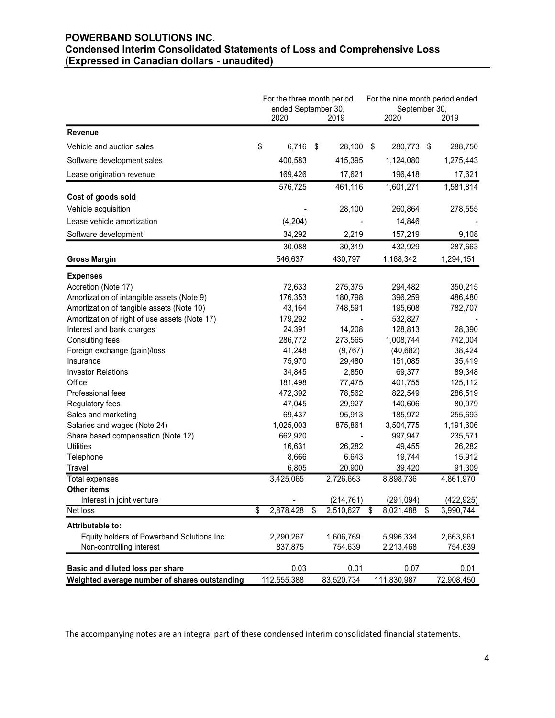# POWERBAND SOLUTIONS INC. Condensed Interim Consolidated Statements of Loss and Comprehensive Loss (Expressed in Canadian dollars - unaudited)

|                                                        | (Expressed in Canadian dollars - unaudited)       |                          | <b>Condensed Interim Consolidated Statements of Loss and Comprehensive Loss</b> |                  |
|--------------------------------------------------------|---------------------------------------------------|--------------------------|---------------------------------------------------------------------------------|------------------|
|                                                        | For the three month period<br>ended September 30, |                          | For the nine month period ended<br>September 30,                                |                  |
| <b>Revenue</b>                                         | 2020                                              | 2019                     | 2020                                                                            | 2019             |
|                                                        |                                                   |                          |                                                                                 |                  |
| Vehicle and auction sales                              | \$<br>$6,716$ \$                                  | 28,100 \$                | 280,773 \$                                                                      | 288,750          |
| Software development sales                             | 400,583                                           | 415,395                  | 1,124,080                                                                       | 1,275,443        |
| Lease origination revenue                              | 169,426                                           | 17,621                   | 196,418                                                                         | 17,621           |
|                                                        | 576,725                                           | 461,116                  | 1,601,271                                                                       | 1,581,814        |
| Cost of goods sold                                     |                                                   |                          |                                                                                 |                  |
| Vehicle acquisition                                    |                                                   | 28,100                   | 260,864                                                                         | 278,555          |
| Lease vehicle amortization                             | (4,204)                                           |                          | 14,846                                                                          |                  |
| Software development                                   | 34,292                                            | 2,219                    | 157,219                                                                         | 9,108            |
|                                                        | 30,088                                            | 30,319                   | 432,929                                                                         | 287,663          |
| <b>Gross Margin</b>                                    | 546,637                                           | 430,797                  | 1,168,342                                                                       | 1,294,151        |
| <b>Expenses</b>                                        |                                                   |                          |                                                                                 |                  |
| Accretion (Note 17)                                    | 72,633                                            | 275,375                  | 294,482                                                                         | 350,215          |
| Amortization of intangible assets (Note 9)             | 176,353                                           | 180,798                  | 396,259                                                                         | 486,480          |
| Amortization of tangible assets (Note 10)              | 43,164                                            | 748,591                  | 195,608                                                                         | 782,707          |
| Amortization of right of use assets (Note 17)          | 179,292                                           | $\overline{\phantom{a}}$ | 532,827                                                                         |                  |
| Interest and bank charges                              | 24,391                                            | 14,208                   | 128,813                                                                         | 28,390           |
| Consulting fees                                        | 286,772                                           | 273,565                  | 1,008,744                                                                       | 742,004          |
| Foreign exchange (gain)/loss                           | 41,248                                            | (9,767)                  | (40, 682)                                                                       | 38,424           |
| Insurance                                              | 75,970                                            | 29,480                   | 151,085                                                                         | 35,419           |
| <b>Investor Relations</b>                              | 34,845                                            | 2,850                    | 69,377                                                                          | 89,348           |
| Office                                                 | 181,498                                           | 77,475                   | 401,755                                                                         | 125,112          |
| Professional fees                                      | 472,392                                           | 78,562                   | 822,549                                                                         | 286,519          |
| Regulatory fees                                        | 47,045                                            | 29,927                   | 140,606                                                                         | 80,979           |
| Sales and marketing                                    | 69,437                                            | 95,913                   | 185,972                                                                         | 255,693          |
| Salaries and wages (Note 24)                           | 1,025,003                                         | 875,861                  | 3,504,775                                                                       | 1,191,606        |
| Share based compensation (Note 12)<br><b>Utilities</b> | 662,920<br>16,631                                 | 26,282                   | 997,947                                                                         | 235,571          |
| Telephone                                              | 8,666                                             | 6,643                    | 49,455<br>19,744                                                                | 26,282<br>15,912 |
| Travel                                                 | 6,805                                             | 20,900                   | 39,420                                                                          | 91,309           |
| Total expenses                                         | 3,425,065                                         | 2,726,663                | 8,898,736                                                                       | 4,861,970        |
| Other items                                            |                                                   |                          |                                                                                 |                  |
| Interest in joint venture                              |                                                   | (214, 761)               | (291, 094)                                                                      | (422, 925)       |
| Net loss                                               | 2,878,428<br>\$<br>- \$                           | 2,510,627 \$             | 8,021,488<br>\$                                                                 | 3,990,744        |
| Attributable to:                                       |                                                   |                          |                                                                                 |                  |
| Equity holders of Powerband Solutions Inc              | 2,290,267                                         | 1,606,769                | 5,996,334                                                                       | 2,663,961        |
| Non-controlling interest                               | 837,875                                           | 754,639                  | 2,213,468                                                                       | 754,639          |
|                                                        |                                                   |                          |                                                                                 |                  |
| Basic and diluted loss per share                       | 0.03                                              | 0.01                     | 0.07                                                                            | 0.01             |
| Weighted average number of shares outstanding          | 112,555,388                                       | 83,520,734               | 111,830,987                                                                     | 72,908,450       |

The accompanying notes are an integral part of these condensed interim consolidated financial statements.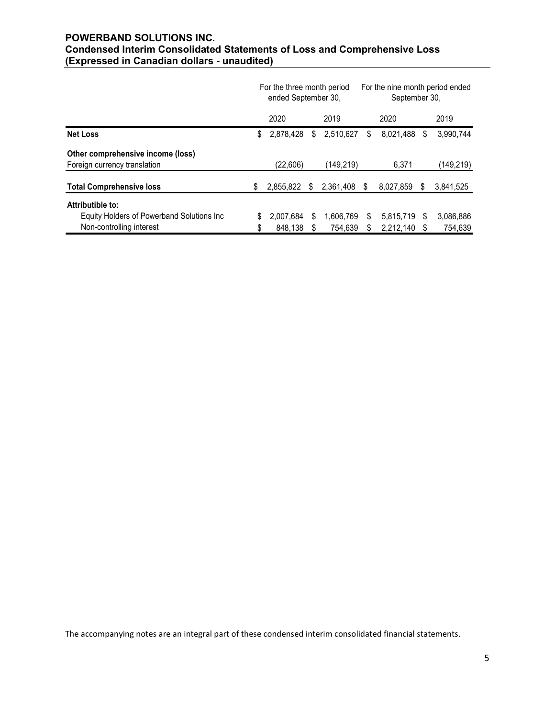# POWERBAND SOLUTIONS INC. Condensed Interim Consolidated Statements of Loss and Comprehensive Loss (Expressed in Canadian dollars - unaudited)

| <b>POWERBAND SOLUTIONS INC.</b>                                                 |                            |      |              |    |                                 |            |
|---------------------------------------------------------------------------------|----------------------------|------|--------------|----|---------------------------------|------------|
| <b>Condensed Interim Consolidated Statements of Loss and Comprehensive Loss</b> |                            |      |              |    |                                 |            |
| (Expressed in Canadian dollars - unaudited)                                     |                            |      |              |    |                                 |            |
|                                                                                 |                            |      |              |    |                                 |            |
|                                                                                 |                            |      |              |    |                                 |            |
|                                                                                 | For the three month period |      |              |    | For the nine month period ended |            |
|                                                                                 | ended September 30,        |      |              |    | September 30,                   |            |
|                                                                                 | 2020                       |      | 2019         |    | 2020                            | 2019       |
| <b>Net Loss</b>                                                                 | \$<br>2,878,428            | - \$ | 2,510,627    | \$ | 8,021,488 \$                    | 3,990,744  |
| Other comprehensive income (loss)                                               |                            |      |              |    |                                 |            |
| Foreign currency translation                                                    | (22,606)                   |      | (149, 219)   |    | 6,371                           | (149, 219) |
| <b>Total Comprehensive loss</b>                                                 | \$<br>2,855,822 \$         |      | 2,361,408 \$ |    | 8,027,859 \$                    | 3,841,525  |
| Attributible to:                                                                |                            |      |              |    |                                 |            |
| Equity Holders of Powerband Solutions Inc                                       | 2,007,684 \$               |      | 1,606,769    | S  | 5,815,719 \$                    | 3,086,886  |

The accompanying notes are an integral part of these condensed interim consolidated financial statements.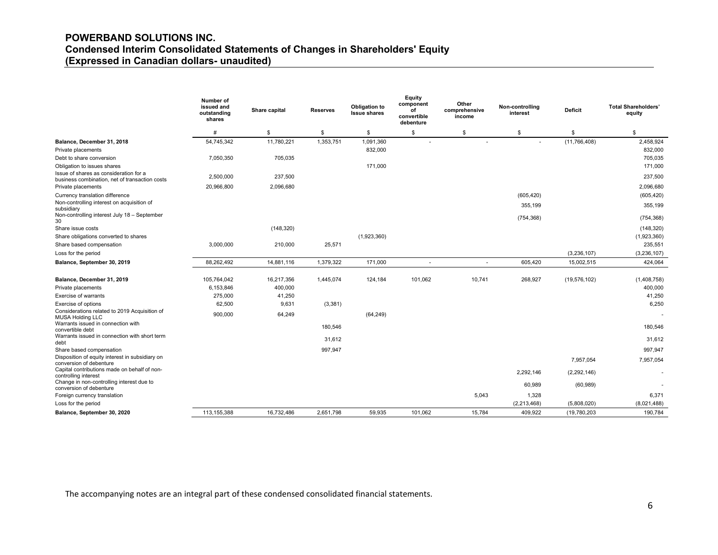# POWERBAND SOLUTIONS INC. Condensed Interim Consolidated Statements of Changes in Shareholders' Equity (Expressed in Canadian dollars- unaudited)

|                                                                                                 | Number of<br>issued and<br>outstanding<br>shares | Share capital | <b>Reserves</b> | Obligation to<br><b>Issue shares</b> | Equity<br>component<br>οf<br>convertible<br>debenture | Other<br>comprehensive<br>income | Non-controlling<br>interest | <b>Deficit</b> | <b>Total Shareholders'</b><br>equity |
|-------------------------------------------------------------------------------------------------|--------------------------------------------------|---------------|-----------------|--------------------------------------|-------------------------------------------------------|----------------------------------|-----------------------------|----------------|--------------------------------------|
|                                                                                                 | #                                                | \$            | \$              | \$                                   | \$                                                    | \$                               | \$                          | \$             | \$                                   |
| Balance, December 31, 2018<br>Private placements                                                | 54,745,342                                       | 11,780,221    | 1,353,751       | 1,091,360<br>832,000                 |                                                       |                                  |                             | (11, 766, 408) | 2,458,924<br>832,000                 |
| Debt to share conversion                                                                        | 7,050,350                                        | 705,035       |                 |                                      |                                                       |                                  |                             |                | 705,035                              |
| Obligation to issues shares                                                                     |                                                  |               |                 | 171,000                              |                                                       |                                  |                             |                | 171,000                              |
| Issue of shares as consideration for a<br>business combination, net of transaction costs        | 2,500,000                                        | 237,500       |                 |                                      |                                                       |                                  |                             |                | 237,500                              |
| Private placements                                                                              | 20,966,800                                       | 2,096,680     |                 |                                      |                                                       |                                  |                             |                | 2,096,680                            |
| Currency translation difference                                                                 |                                                  |               |                 |                                      |                                                       |                                  | (605, 420)                  |                | (605, 420)                           |
| Non-controlling interest on acquisition of<br>subsidiary                                        |                                                  |               |                 |                                      |                                                       |                                  | 355,199                     |                | 355,199                              |
| Non-controlling interest July 18 - September<br>30                                              |                                                  |               |                 |                                      |                                                       |                                  | (754, 368)                  |                | (754, 368)                           |
| Share issue costs                                                                               |                                                  | (148, 320)    |                 |                                      |                                                       |                                  |                             |                | (148, 320)                           |
| Share obligations converted to shares                                                           |                                                  |               |                 | (1,923,360)                          |                                                       |                                  |                             |                | (1,923,360)                          |
| Share based compensation                                                                        | 3.000.000                                        | 210,000       | 25,571          |                                      |                                                       |                                  |                             |                | 235,551                              |
| Loss for the period                                                                             |                                                  |               |                 |                                      |                                                       |                                  |                             | (3, 236, 107)  | (3, 236, 107)                        |
| Balance, September 30, 2019                                                                     | 88,262,492                                       | 14,881,116    | 1,379,322       | 171,000                              | $\overline{a}$                                        | $\overline{a}$                   | 605,420                     | 15,002,515     | 424,064                              |
| Balance, December 31, 2019                                                                      | 105,764,042                                      | 16,217,356    | 1,445,074       | 124,184                              | 101,062                                               | 10,741                           | 268,927                     | (19, 576, 102) | (1,408,758)                          |
| Private placements                                                                              | 6,153,846                                        | 400,000       |                 |                                      |                                                       |                                  |                             |                | 400,000                              |
| Exercise of warrants                                                                            | 275,000                                          | 41,250        |                 |                                      |                                                       |                                  |                             |                | 41,250                               |
| Exercise of options                                                                             | 62,500                                           | 9,631         | (3,381)         |                                      |                                                       |                                  |                             |                | 6,250                                |
| Considerations related to 2019 Acquisition of<br><b>MUSA Holding LLC</b>                        | 900,000                                          | 64,249        |                 | (64, 249)                            |                                                       |                                  |                             |                |                                      |
| Warrants issued in connection with<br>convertible debt                                          |                                                  |               | 180,546         |                                      |                                                       |                                  |                             |                | 180,546                              |
| Warrants issued in connection with short term<br>debt                                           |                                                  |               | 31,612          |                                      |                                                       |                                  |                             |                | 31,612                               |
| Share based compensation                                                                        |                                                  |               | 997,947         |                                      |                                                       |                                  |                             |                | 997,947                              |
| Disposition of equity interest in subsidiary on                                                 |                                                  |               |                 |                                      |                                                       |                                  |                             | 7,957,054      | 7,957,054                            |
| conversion of debenture<br>Capital contributions made on behalf of non-<br>controlling interest |                                                  |               |                 |                                      |                                                       |                                  | 2,292,146                   | (2, 292, 146)  |                                      |
| Change in non-controlling interest due to<br>conversion of debenture                            |                                                  |               |                 |                                      |                                                       |                                  | 60,989                      | (60, 989)      |                                      |
| Foreign currency translation                                                                    |                                                  |               |                 |                                      |                                                       | 5,043                            | 1,328                       |                | 6,371                                |
| Loss for the period                                                                             |                                                  |               |                 |                                      |                                                       |                                  | (2,213,468)                 | (5,808,020)    | (8,021,488)                          |
| Balance, September 30, 2020                                                                     | 113,155,388                                      | 16,732,486    | 2,651,798       | 59,935                               | 101,062                                               | 15,784                           | 409,922                     | (19,780,203    | 190,784                              |

The accompanying notes are an integral part of these condensed consolidated financial statements.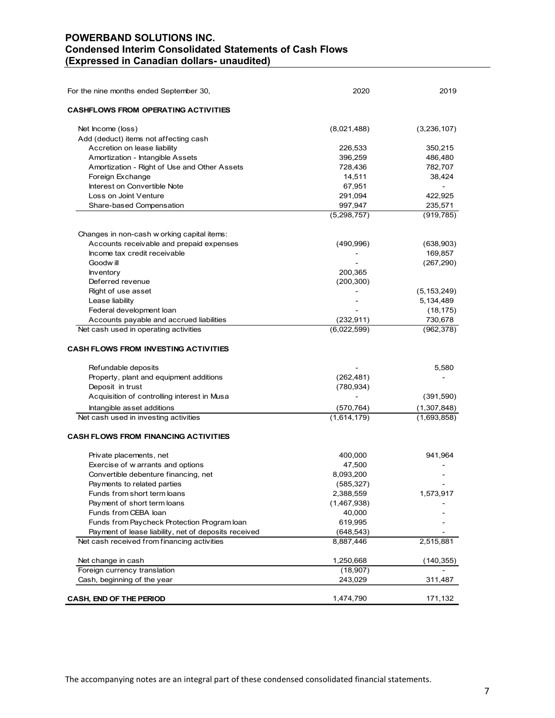# POWERBAND SOLUTIONS INC. Condensed Interim Consolidated Statements of Cash Flows (Expressed in Canadian dollars- unaudited)

| POWERBAND SOLUTIONS INC.<br><b>Condensed Interim Consolidated Statements of Cash Flows</b><br>(Expressed in Canadian dollars- unaudited) |             |               |
|------------------------------------------------------------------------------------------------------------------------------------------|-------------|---------------|
|                                                                                                                                          |             |               |
|                                                                                                                                          |             |               |
|                                                                                                                                          |             |               |
|                                                                                                                                          |             |               |
|                                                                                                                                          |             |               |
|                                                                                                                                          |             |               |
|                                                                                                                                          |             |               |
|                                                                                                                                          |             |               |
|                                                                                                                                          |             |               |
|                                                                                                                                          |             |               |
|                                                                                                                                          |             |               |
|                                                                                                                                          |             |               |
|                                                                                                                                          |             |               |
|                                                                                                                                          |             |               |
|                                                                                                                                          | 2020        | 2019          |
| For the nine months ended September 30,                                                                                                  |             |               |
|                                                                                                                                          |             |               |
| <b>CASHFLOWS FROM OPERATING ACTIVITIES</b>                                                                                               |             |               |
|                                                                                                                                          |             |               |
| Net Income (loss)                                                                                                                        | (8,021,488) | (3,236,107)   |
| Add (deduct) items not affecting cash                                                                                                    |             |               |
| Accretion on lease liability                                                                                                             | 226,533     | 350,215       |
| Amortization - Intangible Assets                                                                                                         | 396,259     | 486,480       |
| Amortization - Right of Use and Other Assets                                                                                             | 728,436     | 782,707       |
| Foreign Exchange                                                                                                                         | 14,511      | 38,424        |
| Interest on Convertible Note                                                                                                             | 67,951      | $\sim$        |
| Loss on Joint Venture                                                                                                                    | 291,094     | 422,925       |
| Share-based Compensation                                                                                                                 | 997,947     | 235,571       |
|                                                                                                                                          | (5,298,757) | (919, 785)    |
|                                                                                                                                          |             |               |
|                                                                                                                                          |             |               |
| Changes in non-cash w orking capital items:                                                                                              |             |               |
| Accounts receivable and prepaid expenses                                                                                                 | (490, 996)  | (638, 903)    |
| Income tax credit receivable                                                                                                             |             | 169,857       |
| Goodw ill                                                                                                                                |             | (267, 290)    |
| Inventory                                                                                                                                | 200,365     |               |
| Deferred revenue                                                                                                                         | (200, 300)  |               |
| Right of use asset                                                                                                                       |             | (5, 153, 249) |
| Lease liability                                                                                                                          |             | 5,134,489     |
| Federal development loan                                                                                                                 |             | (18, 175)     |
| Accounts payable and accrued liabilities                                                                                                 | (232, 911)  | 730,678       |
| Net cash used in operating activities                                                                                                    | (6,022,599) | (962, 378)    |
|                                                                                                                                          |             |               |
|                                                                                                                                          |             |               |
| <b>CASH FLOWS FROM INVESTING ACTIVITIES</b>                                                                                              |             |               |
|                                                                                                                                          |             |               |
| Refundable deposits                                                                                                                      |             | 5,580         |
| Property, plant and equipment additions                                                                                                  | (262, 481)  |               |
| Deposit in trust                                                                                                                         | (780, 934)  |               |
| Acquisition of controlling interest in Musa                                                                                              |             | (391, 590)    |
| Intangible asset additions                                                                                                               | (570, 764)  | (1,307,848)   |
| Net cash used in investing activities                                                                                                    | (1,614,179) | (1,693,858)   |
|                                                                                                                                          |             |               |
| <b>CASH FLOWS FROM FINANCING ACTIVITIES</b>                                                                                              |             |               |
|                                                                                                                                          |             |               |
|                                                                                                                                          |             |               |
| Private placements, net                                                                                                                  | 400,000     | 941,964       |
| Exercise of w arrants and options                                                                                                        | 47,500      |               |
| Convertible debenture financing, net                                                                                                     | 8,093,200   |               |
| Payments to related parties                                                                                                              | (585, 327)  |               |
| Funds from short term loans                                                                                                              | 2,388,559   | 1,573,917     |
| Payment of short term loans                                                                                                              | (1,467,938) |               |
| Funds from CEBA loan                                                                                                                     | 40,000      |               |
| Funds from Paycheck Protection Program loan                                                                                              | 619,995     |               |
| Payment of lease liability, net of deposits received                                                                                     | (648, 543)  |               |
| Net cash received from financing activities                                                                                              | 8,887,446   | 2,515,881     |
|                                                                                                                                          |             |               |
| Net change in cash                                                                                                                       | 1,250,668   | (140, 355)    |
| Foreign currency translation                                                                                                             | (18,907)    |               |
| Cash, beginning of the year                                                                                                              | 243,029     | 311,487       |
|                                                                                                                                          |             |               |
|                                                                                                                                          |             |               |
| <b>CASH, END OF THE PERIOD</b>                                                                                                           | 1,474,790   | 171,132       |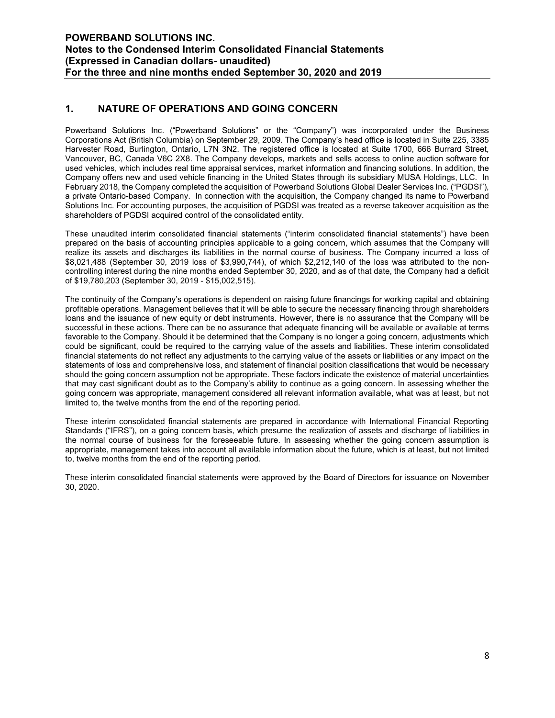# 1. NATURE OF OPERATIONS AND GOING CONCERN

Powerband Solutions Inc. ("Powerband Solutions" or the "Company") was incorporated under the Business Corporations Act (British Columbia) on September 29, 2009. The Company's head office is located in Suite 225, 3385 Harvester Road, Burlington, Ontario, L7N 3N2. The registered office is located at Suite 1700, 666 Burrard Street, Vancouver, BC, Canada V6C 2X8. The Company develops, markets and sells access to online auction software for used vehicles, which includes real time appraisal services, market information and financing solutions. In addition, the Company offers new and used vehicle financing in the United States through its subsidiary MUSA Holdings, LLC. In February 2018, the Company completed the acquisition of Powerband Solutions Global Dealer Services Inc. ("PGDSI"), a private Ontario-based Company. In connection with the acquisition, the Company changed its name to Powerband Solutions Inc. For accounting purposes, the acquisition of PGDSI was treated as a reverse takeover acquisition as the shareholders of PGDSI acquired control of the consolidated entity.

These unaudited interim consolidated financial statements ("interim consolidated financial statements") have been prepared on the basis of accounting principles applicable to a going concern, which assumes that the Company will realize its assets and discharges its liabilities in the normal course of business. The Company incurred a loss of \$8,021,488 (September 30, 2019 loss of \$3,990,744), of which \$2,212,140 of the loss was attributed to the noncontrolling interest during the nine months ended September 30, 2020, and as of that date, the Company had a deficit of \$19,780,203 (September 30, 2019 - \$15,002,515).

The continuity of the Company's operations is dependent on raising future financings for working capital and obtaining profitable operations. Management believes that it will be able to secure the necessary financing through shareholders loans and the issuance of new equity or debt instruments. However, there is no assurance that the Company will be successful in these actions. There can be no assurance that adequate financing will be available or available at terms favorable to the Company. Should it be determined that the Company is no longer a going concern, adjustments which could be significant, could be required to the carrying value of the assets and liabilities. These interim consolidated financial statements do not reflect any adjustments to the carrying value of the assets or liabilities or any impact on the statements of loss and comprehensive loss, and statement of financial position classifications that would be necessary should the going concern assumption not be appropriate. These factors indicate the existence of material uncertainties that may cast significant doubt as to the Company's ability to continue as a going concern. In assessing whether the going concern was appropriate, management considered all relevant information available, what was at least, but not limited to, the twelve months from the end of the reporting period.

These interim consolidated financial statements are prepared in accordance with International Financial Reporting Standards ("IFRS"), on a going concern basis, which presume the realization of assets and discharge of liabilities in the normal course of business for the foreseeable future. In assessing whether the going concern assumption is appropriate, management takes into account all available information about the future, which is at least, but not limited to, twelve months from the end of the reporting period.

These interim consolidated financial statements were approved by the Board of Directors for issuance on November 30, 2020.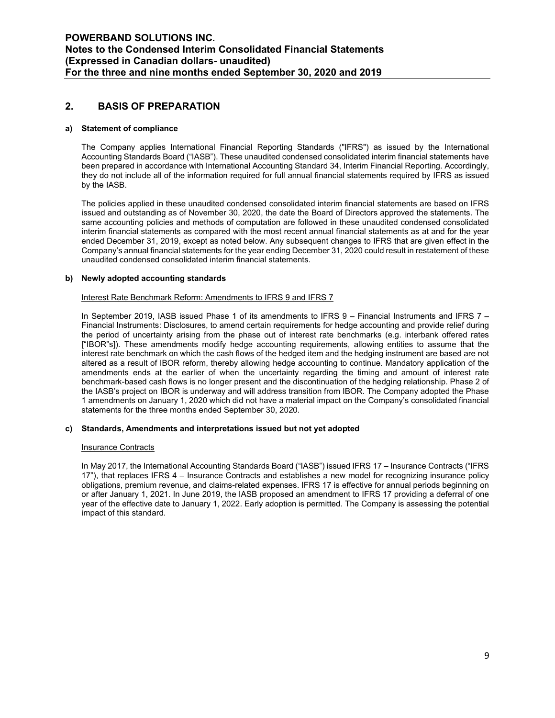### 2. BASIS OF PREPARATION

#### a) Statement of compliance

The Company applies International Financial Reporting Standards ("IFRS") as issued by the International Accounting Standards Board ("IASB"). These unaudited condensed consolidated interim financial statements have been prepared in accordance with International Accounting Standard 34, Interim Financial Reporting. Accordingly, they do not include all of the information required for full annual financial statements required by IFRS as issued by the IASB.

The policies applied in these unaudited condensed consolidated interim financial statements are based on IFRS issued and outstanding as of November 30, 2020, the date the Board of Directors approved the statements. The same accounting policies and methods of computation are followed in these unaudited condensed consolidated interim financial statements as compared with the most recent annual financial statements as at and for the year ended December 31, 2019, except as noted below. Any subsequent changes to IFRS that are given effect in the Company's annual financial statements for the year ending December 31, 2020 could result in restatement of these unaudited condensed consolidated interim financial statements.

#### b) Newly adopted accounting standards

#### Interest Rate Benchmark Reform: Amendments to IFRS 9 and IFRS 7

In September 2019, IASB issued Phase 1 of its amendments to IFRS 9 – Financial Instruments and IFRS 7 – Financial Instruments: Disclosures, to amend certain requirements for hedge accounting and provide relief during the period of uncertainty arising from the phase out of interest rate benchmarks (e.g. interbank offered rates ["IBOR"s]). These amendments modify hedge accounting requirements, allowing entities to assume that the interest rate benchmark on which the cash flows of the hedged item and the hedging instrument are based are not altered as a result of IBOR reform, thereby allowing hedge accounting to continue. Mandatory application of the amendments ends at the earlier of when the uncertainty regarding the timing and amount of interest rate benchmark-based cash flows is no longer present and the discontinuation of the hedging relationship. Phase 2 of the IASB's project on IBOR is underway and will address transition from IBOR. The Company adopted the Phase 1 amendments on January 1, 2020 which did not have a material impact on the Company's consolidated financial statements for the three months ended September 30, 2020.

#### c) Standards, Amendments and interpretations issued but not yet adopted

#### Insurance Contracts

In May 2017, the International Accounting Standards Board ("IASB") issued IFRS 17 – Insurance Contracts ("IFRS 17"), that replaces IFRS 4 – Insurance Contracts and establishes a new model for recognizing insurance policy obligations, premium revenue, and claims-related expenses. IFRS 17 is effective for annual periods beginning on or after January 1, 2021. In June 2019, the IASB proposed an amendment to IFRS 17 providing a deferral of one year of the effective date to January 1, 2022. Early adoption is permitted. The Company is assessing the potential impact of this standard.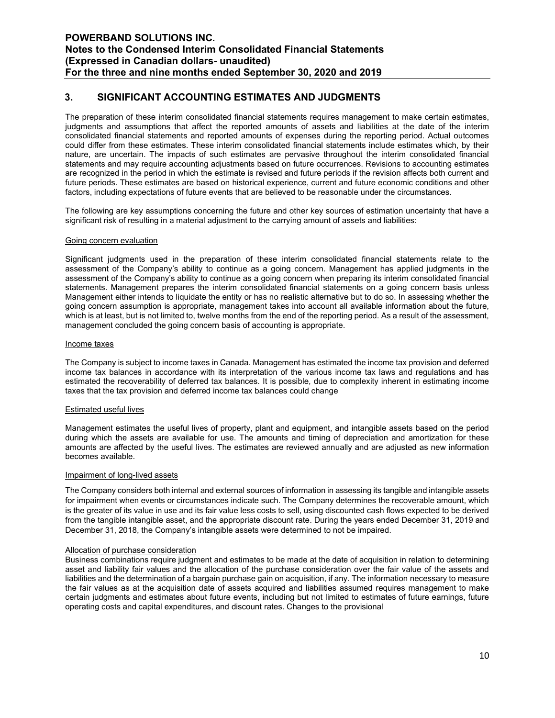# 3. SIGNIFICANT ACCOUNTING ESTIMATES AND JUDGMENTS

The preparation of these interim consolidated financial statements requires management to make certain estimates, judgments and assumptions that affect the reported amounts of assets and liabilities at the date of the interim consolidated financial statements and reported amounts of expenses during the reporting period. Actual outcomes could differ from these estimates. These interim consolidated financial statements include estimates which, by their nature, are uncertain. The impacts of such estimates are pervasive throughout the interim consolidated financial statements and may require accounting adjustments based on future occurrences. Revisions to accounting estimates are recognized in the period in which the estimate is revised and future periods if the revision affects both current and future periods. These estimates are based on historical experience, current and future economic conditions and other factors, including expectations of future events that are believed to be reasonable under the circumstances.

The following are key assumptions concerning the future and other key sources of estimation uncertainty that have a significant risk of resulting in a material adjustment to the carrying amount of assets and liabilities:

#### Going concern evaluation

Significant judgments used in the preparation of these interim consolidated financial statements relate to the assessment of the Company's ability to continue as a going concern. Management has applied judgments in the assessment of the Company's ability to continue as a going concern when preparing its interim consolidated financial statements. Management prepares the interim consolidated financial statements on a going concern basis unless Management either intends to liquidate the entity or has no realistic alternative but to do so. In assessing whether the going concern assumption is appropriate, management takes into account all available information about the future, which is at least, but is not limited to, twelve months from the end of the reporting period. As a result of the assessment, management concluded the going concern basis of accounting is appropriate.

#### Income taxes

The Company is subject to income taxes in Canada. Management has estimated the income tax provision and deferred income tax balances in accordance with its interpretation of the various income tax laws and regulations and has estimated the recoverability of deferred tax balances. It is possible, due to complexity inherent in estimating income taxes that the tax provision and deferred income tax balances could change

#### Estimated useful lives

Management estimates the useful lives of property, plant and equipment, and intangible assets based on the period during which the assets are available for use. The amounts and timing of depreciation and amortization for these amounts are affected by the useful lives. The estimates are reviewed annually and are adjusted as new information becomes available.

#### Impairment of long-lived assets

The Company considers both internal and external sources of information in assessing its tangible and intangible assets for impairment when events or circumstances indicate such. The Company determines the recoverable amount, which is the greater of its value in use and its fair value less costs to sell, using discounted cash flows expected to be derived from the tangible intangible asset, and the appropriate discount rate. During the years ended December 31, 2019 and December 31, 2018, the Company's intangible assets were determined to not be impaired.

#### Allocation of purchase consideration

Business combinations require judgment and estimates to be made at the date of acquisition in relation to determining asset and liability fair values and the allocation of the purchase consideration over the fair value of the assets and liabilities and the determination of a bargain purchase gain on acquisition, if any. The information necessary to measure the fair values as at the acquisition date of assets acquired and liabilities assumed requires management to make certain judgments and estimates about future events, including but not limited to estimates of future earnings, future operating costs and capital expenditures, and discount rates. Changes to the provisional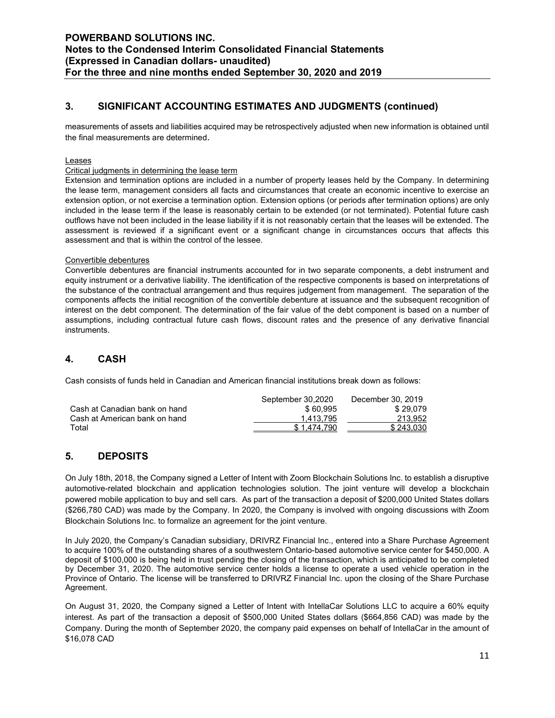# 3. SIGNIFICANT ACCOUNTING ESTIMATES AND JUDGMENTS (continued)

measurements of assets and liabilities acquired may be retrospectively adjusted when new information is obtained until the final measurements are determined.

#### Leases

#### Critical judgments in determining the lease term

Extension and termination options are included in a number of property leases held by the Company. In determining the lease term, management considers all facts and circumstances that create an economic incentive to exercise an extension option, or not exercise a termination option. Extension options (or periods after termination options) are only included in the lease term if the lease is reasonably certain to be extended (or not terminated). Potential future cash outflows have not been included in the lease liability if it is not reasonably certain that the leases will be extended. The assessment is reviewed if a significant event or a significant change in circumstances occurs that affects this assessment and that is within the control of the lessee.

#### Convertible debentures

Convertible debentures are financial instruments accounted for in two separate components, a debt instrument and equity instrument or a derivative liability. The identification of the respective components is based on interpretations of the substance of the contractual arrangement and thus requires judgement from management. The separation of the components affects the initial recognition of the convertible debenture at issuance and the subsequent recognition of interest on the debt component. The determination of the fair value of the debt component is based on a number of assumptions, including contractual future cash flows, discount rates and the presence of any derivative financial instruments.

# 4. CASH

Cash consists of funds held in Canadian and American financial institutions break down as follows:

|                               | September 30,2020 | December 30, 2019 |
|-------------------------------|-------------------|-------------------|
| Cash at Canadian bank on hand | \$60.995          | \$29.079          |
| Cash at American bank on hand | 1.413.795         | 213.952           |
| Total                         | \$1.474.790       | \$243.030         |

### 5. DEPOSITS

On July 18th, 2018, the Company signed a Letter of Intent with Zoom Blockchain Solutions Inc. to establish a disruptive automotive-related blockchain and application technologies solution. The joint venture will develop a blockchain powered mobile application to buy and sell cars. As part of the transaction a deposit of \$200,000 United States dollars (\$266,780 CAD) was made by the Company. In 2020, the Company is involved with ongoing discussions with Zoom Blockchain Solutions Inc. to formalize an agreement for the joint venture.

In July 2020, the Company's Canadian subsidiary, DRIVRZ Financial Inc., entered into a Share Purchase Agreement to acquire 100% of the outstanding shares of a southwestern Ontario-based automotive service center for \$450,000. A deposit of \$100,000 is being held in trust pending the closing of the transaction, which is anticipated to be completed by December 31, 2020. The automotive service center holds a license to operate a used vehicle operation in the Province of Ontario. The license will be transferred to DRIVRZ Financial Inc. upon the closing of the Share Purchase Agreement.

On August 31, 2020, the Company signed a Letter of Intent with IntellaCar Solutions LLC to acquire a 60% equity interest. As part of the transaction a deposit of \$500,000 United States dollars (\$664,856 CAD) was made by the Company. During the month of September 2020, the company paid expenses on behalf of IntellaCar in the amount of \$16,078 CAD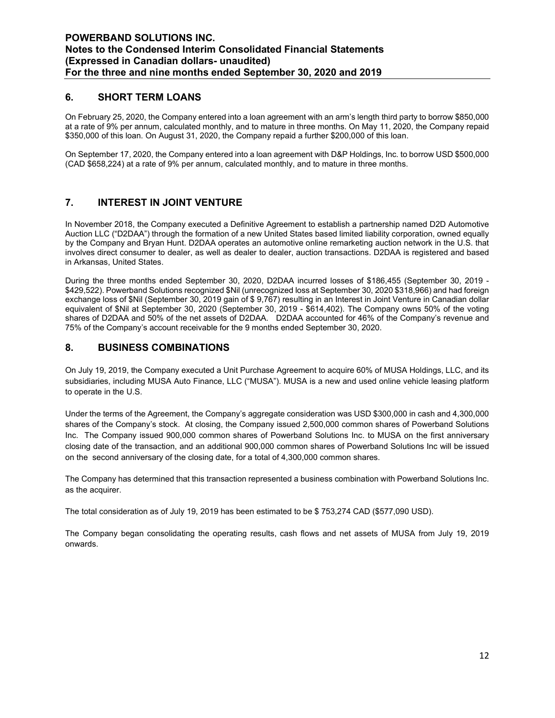# 6. SHORT TERM LOANS

On February 25, 2020, the Company entered into a loan agreement with an arm's length third party to borrow \$850,000 at a rate of 9% per annum, calculated monthly, and to mature in three months. On May 11, 2020, the Company repaid \$350,000 of this loan. On August 31, 2020, the Company repaid a further \$200,000 of this loan.

On September 17, 2020, the Company entered into a loan agreement with D&P Holdings, Inc. to borrow USD \$500,000 (CAD \$658,224) at a rate of 9% per annum, calculated monthly, and to mature in three months.

### 7. INTEREST IN JOINT VENTURE

In November 2018, the Company executed a Definitive Agreement to establish a partnership named D2D Automotive Auction LLC ("D2DAA") through the formation of a new United States based limited liability corporation, owned equally by the Company and Bryan Hunt. D2DAA operates an automotive online remarketing auction network in the U.S. that involves direct consumer to dealer, as well as dealer to dealer, auction transactions. D2DAA is registered and based in Arkansas, United States.

During the three months ended September 30, 2020, D2DAA incurred losses of \$186,455 (September 30, 2019 - \$429,522). Powerband Solutions recognized \$Nil (unrecognized loss at September 30, 2020 \$318,966) and had foreign exchange loss of \$Nil (September 30, 2019 gain of \$ 9,767) resulting in an Interest in Joint Venture in Canadian dollar equivalent of \$Nil at September 30, 2020 (September 30, 2019 - \$614,402). The Company owns 50% of the voting shares of D2DAA and 50% of the net assets of D2DAA. D2DAA accounted for 46% of the Company's revenue and 75% of the Company's account receivable for the 9 months ended September 30, 2020.

### 8. BUSINESS COMBINATIONS

On July 19, 2019, the Company executed a Unit Purchase Agreement to acquire 60% of MUSA Holdings, LLC, and its subsidiaries, including MUSA Auto Finance, LLC ("MUSA"). MUSA is a new and used online vehicle leasing platform to operate in the U.S.

Under the terms of the Agreement, the Company's aggregate consideration was USD \$300,000 in cash and 4,300,000 shares of the Company's stock. At closing, the Company issued 2,500,000 common shares of Powerband Solutions Inc. The Company issued 900,000 common shares of Powerband Solutions Inc. to MUSA on the first anniversary closing date of the transaction, and an additional 900,000 common shares of Powerband Solutions Inc will be issued on the second anniversary of the closing date, for a total of 4,300,000 common shares.

The Company has determined that this transaction represented a business combination with Powerband Solutions Inc. as the acquirer.

The total consideration as of July 19, 2019 has been estimated to be \$ 753,274 CAD (\$577,090 USD).

The Company began consolidating the operating results, cash flows and net assets of MUSA from July 19, 2019 onwards.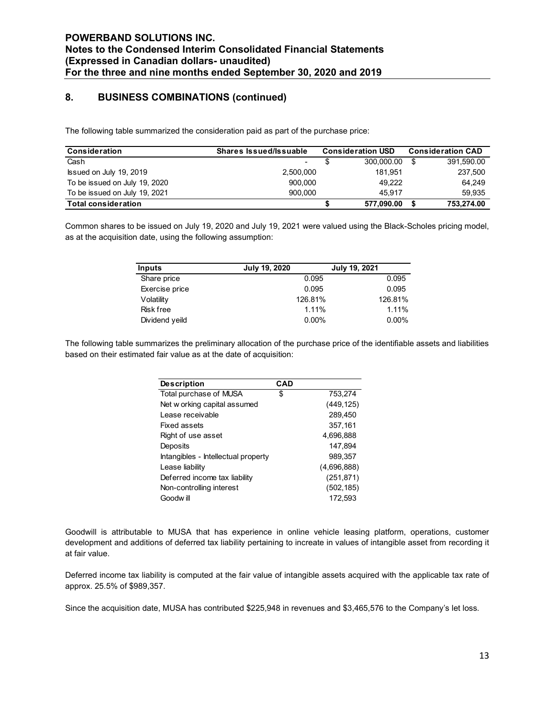# 8. BUSINESS COMBINATIONS (continued)

| <b>POWERBAND SOLUTIONS INC.</b>                                                                                            |                                                             |                |               |                          |                          |
|----------------------------------------------------------------------------------------------------------------------------|-------------------------------------------------------------|----------------|---------------|--------------------------|--------------------------|
|                                                                                                                            |                                                             |                |               |                          |                          |
|                                                                                                                            |                                                             |                |               |                          |                          |
|                                                                                                                            |                                                             |                |               |                          |                          |
|                                                                                                                            |                                                             |                |               |                          |                          |
|                                                                                                                            |                                                             |                |               |                          |                          |
|                                                                                                                            |                                                             |                |               |                          |                          |
| Notes to the Condensed Interim Consolidated Financial Statements                                                           |                                                             |                |               |                          |                          |
| (Expressed in Canadian dollars- unaudited)                                                                                 |                                                             |                |               |                          |                          |
| For the three and nine months ended September 30, 2020 and 2019                                                            |                                                             |                |               |                          |                          |
|                                                                                                                            |                                                             |                |               |                          |                          |
| 8.                                                                                                                         | <b>BUSINESS COMBINATIONS (continued)</b>                    |                |               |                          |                          |
|                                                                                                                            |                                                             |                |               |                          |                          |
|                                                                                                                            |                                                             |                |               |                          |                          |
| The following table summarized the consideration paid as part of the purchase price:                                       |                                                             |                |               |                          |                          |
|                                                                                                                            |                                                             |                |               |                          |                          |
| Consideration                                                                                                              | <b>Shares Issued/Issuable</b>                               |                |               | <b>Consideration USD</b> | <b>Consideration CAD</b> |
| Cash                                                                                                                       |                                                             | $\blacksquare$ | \$            | $300,000.00$ \$          | 391,590.00               |
| Issued on July 19, 2019                                                                                                    |                                                             | 2,500,000      |               | 181,951                  | 237,500                  |
| To be issued on July 19, 2020                                                                                              |                                                             | 900,000        |               | 49,222                   | 64,249                   |
| To be issued on July 19, 2021                                                                                              |                                                             | 900,000        |               | 45,917                   | 59,935                   |
| <b>Total consideration</b>                                                                                                 |                                                             |                | \$            | 577,090.00 \$            | 753,274.00               |
|                                                                                                                            |                                                             |                |               |                          |                          |
| Common shares to be issued on July 19, 2020 and July 19, 2021 were valued using the Black-Scholes pricing model,           |                                                             |                |               |                          |                          |
|                                                                                                                            |                                                             |                |               |                          |                          |
|                                                                                                                            |                                                             |                |               |                          |                          |
|                                                                                                                            | as at the acquisition date, using the following assumption: |                |               |                          |                          |
|                                                                                                                            |                                                             |                |               |                          |                          |
| <b>Inputs</b>                                                                                                              |                                                             | July 19, 2020  | July 19, 2021 |                          |                          |
| Share price                                                                                                                |                                                             | 0.095          |               | 0.095                    |                          |
| Exercise price                                                                                                             |                                                             | 0.095          |               | 0.095                    |                          |
|                                                                                                                            |                                                             | 126.81%        |               | 126.81%                  |                          |
| Volatility<br><b>Risk free</b>                                                                                             |                                                             | 1.11%          |               | 1.11%                    |                          |
|                                                                                                                            |                                                             |                |               |                          |                          |
| Dividend yeild                                                                                                             |                                                             | 0.00%          |               | 0.00%                    |                          |
|                                                                                                                            |                                                             |                |               |                          |                          |
| The following table summarizes the preliminary allocation of the purchase price of the identifiable assets and liabilities |                                                             |                |               |                          |                          |
| based on their estimated fair value as at the date of acquisition:                                                         |                                                             |                |               |                          |                          |
|                                                                                                                            |                                                             |                |               |                          |                          |
|                                                                                                                            |                                                             |                |               |                          |                          |
|                                                                                                                            | <b>Description</b>                                          | <b>CAD</b>     |               |                          |                          |
|                                                                                                                            | Total purchase of MUSA                                      | \$             | 753,274       |                          |                          |
|                                                                                                                            | Net w orking capital assumed                                |                | (449, 125)    |                          |                          |
|                                                                                                                            | Lease receivable                                            |                | 289,450       |                          |                          |
|                                                                                                                            | Fixed assets                                                |                | 357,161       |                          |                          |
|                                                                                                                            | Right of use asset                                          |                | 4,696,888     |                          |                          |
|                                                                                                                            | Deposits                                                    |                | 147,894       |                          |                          |

| <b>Inputs</b>    | <b>July 19, 2020</b> | July 19, 2021 |
|------------------|----------------------|---------------|
| Share price      | 0.095                | 0.095         |
| Exercise price   | 0.095                | 0.095         |
| Volatility       | 126.81%              | 126.81%       |
| <b>Risk free</b> | 1.11%                | 1.11%         |
| Dividend yeild   | $0.00\%$             | $0.00\%$      |

|                                                                                                  | 2,500,000                                                                                          |                       | 181,951           | 237,500    |
|--------------------------------------------------------------------------------------------------|----------------------------------------------------------------------------------------------------|-----------------------|-------------------|------------|
| 20                                                                                               | 900,000                                                                                            |                       | 49,222            | 64,249     |
| 21                                                                                               | 900,000                                                                                            |                       | 45,917            | 59,935     |
|                                                                                                  |                                                                                                    | \$                    | 577,090.00<br>-\$ | 753,274.00 |
| using the following assumption:                                                                  | ued on July 19, 2020 and July 19, 2021 were valued using the Black-Scholes pricing model,          |                       |                   |            |
|                                                                                                  | July 19, 2020                                                                                      | July 19, 2021         |                   |            |
| e price                                                                                          |                                                                                                    | 0.095                 | 0.095             |            |
| ise price                                                                                        |                                                                                                    | 0.095                 | 0.095             |            |
| ility                                                                                            | 126.81%                                                                                            |                       | 126.81%           |            |
|                                                                                                  |                                                                                                    | 1.11%                 | 1.11%             |            |
| ree                                                                                              |                                                                                                    |                       |                   |            |
|                                                                                                  | arizes the preliminary allocation of the purchase price of the identifiable assets and liabilities | 0.00%                 | 0.00%             |            |
| end yeild<br>air value as at the date of acquisition:                                            |                                                                                                    |                       |                   |            |
|                                                                                                  | <b>CAD</b>                                                                                         |                       |                   |            |
|                                                                                                  | \$                                                                                                 | 753,274               |                   |            |
| <b>Description</b><br>Total purchase of MUSA<br>Net w orking capital assumed<br>Lease receivable |                                                                                                    | (449, 125)<br>289,450 |                   |            |
| <b>Fixed assets</b>                                                                              |                                                                                                    | 357,161               |                   |            |
| Right of use asset                                                                               |                                                                                                    | 4,696,888             |                   |            |
| Deposits                                                                                         |                                                                                                    | 147,894               |                   |            |
| Intangibles - Intellectual property                                                              |                                                                                                    | 989,357               |                   |            |
| Lease liability                                                                                  |                                                                                                    | (4,696,888)           |                   |            |
| Deferred income tax liability                                                                    |                                                                                                    | (251, 871)            |                   |            |
| Non-controlling interest                                                                         |                                                                                                    | (502, 185)            |                   |            |

Goodwill is attributable to MUSA that has experience in online vehicle leasing platform, operations, customer development and additions of deferred tax liability pertaining to increate in values of intangible asset from recording it at fair value.

Deferred income tax liability is computed at the fair value of intangible assets acquired with the applicable tax rate of approx. 25.5% of \$989,357.

Since the acquisition date, MUSA has contributed \$225,948 in revenues and \$3,465,576 to the Company's let loss.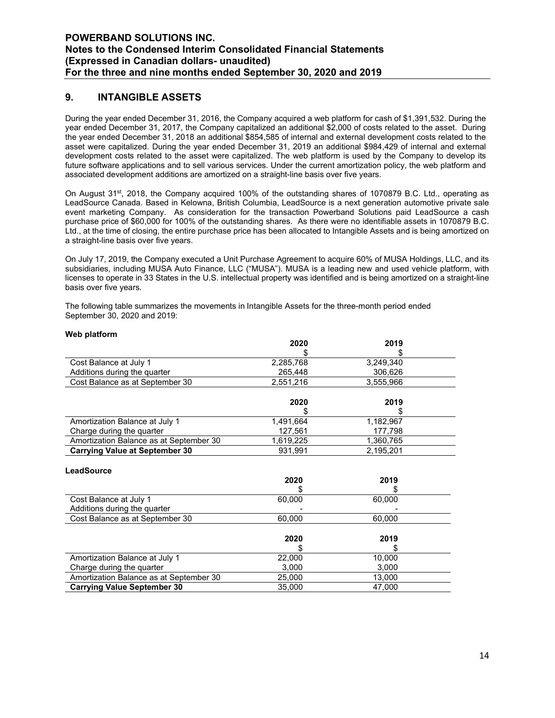### 9. INTANGIBLE ASSETS

During the year ended December 31, 2016, the Company acquired a web platform for cash of \$1,391,532. During the year ended December 31, 2017, the Company capitalized an additional \$2,000 of costs related to the asset. During the year ended December 31, 2018 an additional \$854,585 of internal and external development costs related to the asset were capitalized. During the year ended December 31, 2019 an additional \$984,429 of internal and external development costs related to the asset were capitalized. The web platform is used by the Company to develop its future software applications and to sell various services. Under the current amortization policy, the web platform and associated development additions are amortized on a straight-line basis over five years.

On August 31st, 2018, the Company acquired 100% of the outstanding shares of 1070879 B.C. Ltd., operating as LeadSource Canada. Based in Kelowna, British Columbia, LeadSource is a next generation automotive private sale event marketing Company. As consideration for the transaction Powerband Solutions paid LeadSource a cash purchase price of \$60,000 for 100% of the outstanding shares. As there were no identifiable assets in 1070879 B.C. Ltd., at the time of closing, the entire purchase price has been allocated to Intangible Assets and is being amortized on a straight-line basis over five years.

On July 17, 2019, the Company executed a Unit Purchase Agreement to acquire 60% of MUSA Holdings, LLC, and its subsidiaries, including MUSA Auto Finance, LLC ("MUSA"). MUSA is a leading new and used vehicle platform, with licenses to operate in 33 States in the U.S. intellectual property was identified and is being amortized on a straight-line basis over five years.

The following table summarizes the movements in Intangible Assets for the three-month period ended September 30, 2020 and 2019:

|                                         | 2020      | 2019      |  |
|-----------------------------------------|-----------|-----------|--|
|                                         |           |           |  |
| Cost Balance at July 1                  | 2,285,768 | 3,249,340 |  |
| Additions during the quarter            | 265,448   | 306,626   |  |
| Cost Balance as at September 30         | 2,551,216 | 3,555,966 |  |
|                                         | 2020      | 2019      |  |
|                                         |           |           |  |
| Amortization Balance at July 1          | 1,491,664 | 1,182,967 |  |
| Charge during the quarter               | 127,561   | 177,798   |  |
| Amortization Balance as at September 30 | 1,619,225 | 1,360,765 |  |
| <b>Carrying Value at September 30</b>   | 931,991   | 2,195,201 |  |
| LeadSource                              |           |           |  |
|                                         | 2020      | 2019      |  |
|                                         |           |           |  |
| Cost Balance at July 1                  | 60,000    | 60,000    |  |
| Additions during the quarter            |           |           |  |
| Cost Balance as at September 30         | 60,000    | 60,000    |  |
|                                         | 2020      | 2019      |  |
|                                         |           |           |  |
| Amortization Balance at July 1          | 22,000    | 10,000    |  |
| Charge during the quarter               | 3,000     | 3,000     |  |
| Amortization Balance as at September 30 | 25,000    | 13,000    |  |
| <b>Carrying Value September 30</b>      | 35,000    | 47,000    |  |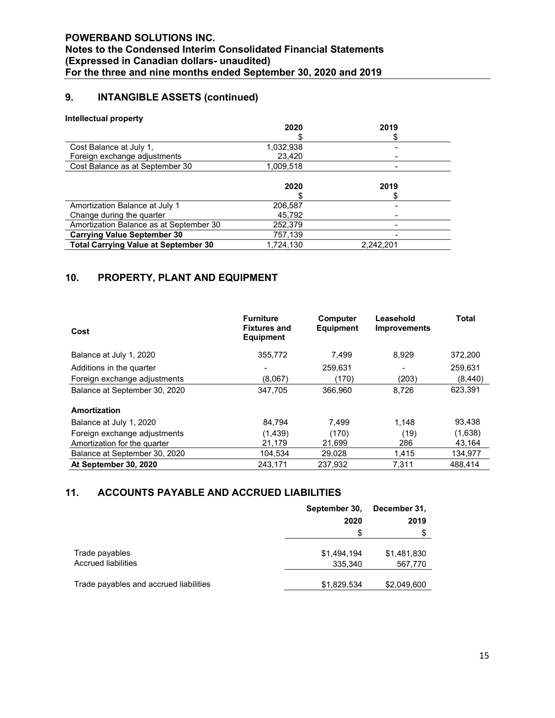# 9. INTANGIBLE ASSETS (continued)

#### Intellectual property

|                                             | 2020      | 2019      |  |
|---------------------------------------------|-----------|-----------|--|
|                                             |           |           |  |
| Cost Balance at July 1,                     | 1,032,938 |           |  |
| Foreign exchange adjustments                | 23,420    |           |  |
| Cost Balance as at September 30             | 1,009,518 |           |  |
|                                             |           |           |  |
|                                             | 2020      | 2019      |  |
|                                             |           |           |  |
| Amortization Balance at July 1              | 206,587   |           |  |
| Change during the quarter                   | 45,792    |           |  |
| Amortization Balance as at September 30     | 252,379   |           |  |
| <b>Carrying Value September 30</b>          | 757,139   |           |  |
| <b>Total Carrying Value at September 30</b> | 1,724,130 | 2,242,201 |  |
|                                             |           |           |  |

# 10. PROPERTY, PLANT AND EQUIPMENT

| Cost                          | <b>Furniture</b><br><b>Fixtures and</b><br><b>Equipment</b> | Computer<br><b>Equipment</b> | Leasehold<br><b>Improvements</b> | <b>Total</b> |
|-------------------------------|-------------------------------------------------------------|------------------------------|----------------------------------|--------------|
| Balance at July 1, 2020       | 355,772                                                     | 7,499                        | 8.929                            | 372,200      |
| Additions in the quarter      |                                                             | 259,631                      | $\,$                             | 259,631      |
| Foreign exchange adjustments  | (8.067)                                                     | (170)                        | (203)                            | (8,440)      |
| Balance at September 30, 2020 | 347,705                                                     | 366.960                      | 8.726                            | 623,391      |
| Amortization                  |                                                             |                              |                                  |              |
| Balance at July 1, 2020       | 84.794                                                      | 7.499                        | 1.148                            | 93.438       |
| Foreign exchange adjustments  | (1,439)                                                     | (170)                        | (19)                             | (1,638)      |
| Amortization for the quarter  | 21,179                                                      | 21,699                       | 286                              | 43,164       |
| Balance at September 30, 2020 | 104,534                                                     | 29.028                       | 1.415                            | 134,977      |
| At September 30, 2020         | 243,171                                                     | 237.932                      | 7,311                            | 488.414      |

# 11. ACCOUNTS PAYABLE AND ACCRUED LIABILITIES

|                                        | September 30, | December 31, |
|----------------------------------------|---------------|--------------|
|                                        | 2020          | 2019         |
|                                        | S             |              |
|                                        |               |              |
| Trade payables                         | \$1,494,194   | \$1,481,830  |
| <b>Accrued liabilities</b>             | 335,340       | 567,770      |
|                                        |               |              |
| Trade payables and accrued liabilities | \$1,829,534   | \$2,049,600  |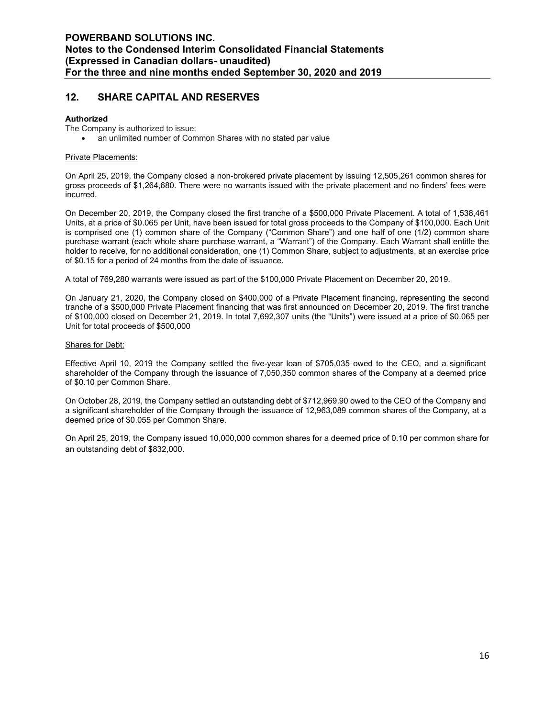# 12. SHARE CAPITAL AND RESERVES

#### Authorized

The Company is authorized to issue:

an unlimited number of Common Shares with no stated par value

#### Private Placements:

On April 25, 2019, the Company closed a non-brokered private placement by issuing 12,505,261 common shares for gross proceeds of \$1,264,680. There were no warrants issued with the private placement and no finders' fees were incurred.

On December 20, 2019, the Company closed the first tranche of a \$500,000 Private Placement. A total of 1,538,461 Units, at a price of \$0.065 per Unit, have been issued for total gross proceeds to the Company of \$100,000. Each Unit is comprised one (1) common share of the Company ("Common Share") and one half of one (1/2) common share purchase warrant (each whole share purchase warrant, a "Warrant") of the Company. Each Warrant shall entitle the holder to receive, for no additional consideration, one (1) Common Share, subject to adjustments, at an exercise price of \$0.15 for a period of 24 months from the date of issuance.

A total of 769,280 warrants were issued as part of the \$100,000 Private Placement on December 20, 2019.

On January 21, 2020, the Company closed on \$400,000 of a Private Placement financing, representing the second tranche of a \$500,000 Private Placement financing that was first announced on December 20, 2019. The first tranche of \$100,000 closed on December 21, 2019. In total 7,692,307 units (the "Units") were issued at a price of \$0.065 per Unit for total proceeds of \$500,000

#### **Shares for Debt:**

Effective April 10, 2019 the Company settled the five-year loan of \$705,035 owed to the CEO, and a significant shareholder of the Company through the issuance of 7,050,350 common shares of the Company at a deemed price of \$0.10 per Common Share.

On October 28, 2019, the Company settled an outstanding debt of \$712,969.90 owed to the CEO of the Company and a significant shareholder of the Company through the issuance of 12,963,089 common shares of the Company, at a deemed price of \$0.055 per Common Share.

On April 25, 2019, the Company issued 10,000,000 common shares for a deemed price of 0.10 per common share for an outstanding debt of \$832,000.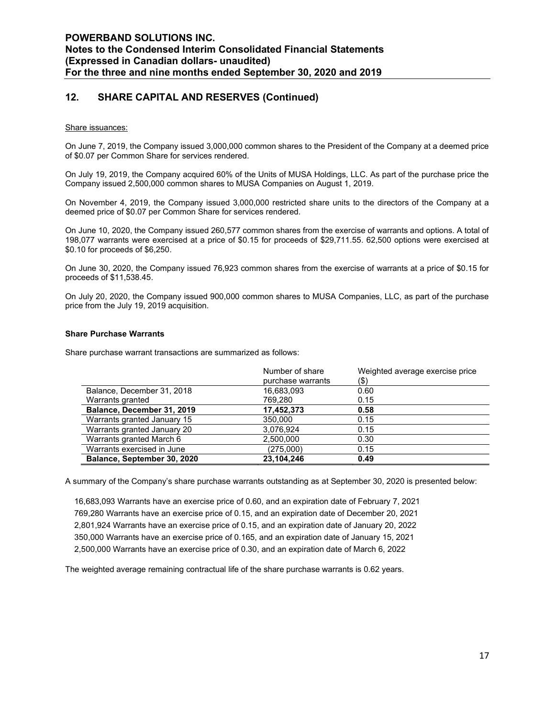# 12. SHARE CAPITAL AND RESERVES (Continued)

#### Share issuances:

On June 7, 2019, the Company issued 3,000,000 common shares to the President of the Company at a deemed price of \$0.07 per Common Share for services rendered.

On July 19, 2019, the Company acquired 60% of the Units of MUSA Holdings, LLC. As part of the purchase price the Company issued 2,500,000 common shares to MUSA Companies on August 1, 2019.

On November 4, 2019, the Company issued 3,000,000 restricted share units to the directors of the Company at a deemed price of \$0.07 per Common Share for services rendered.

On June 10, 2020, the Company issued 260,577 common shares from the exercise of warrants and options. A total of 198,077 warrants were exercised at a price of \$0.15 for proceeds of \$29,711.55. 62,500 options were exercised at \$0.10 for proceeds of \$6,250.

On June 30, 2020, the Company issued 76,923 common shares from the exercise of warrants at a price of \$0.15 for proceeds of \$11,538.45.

On July 20, 2020, the Company issued 900,000 common shares to MUSA Companies, LLC, as part of the purchase price from the July 19, 2019 acquisition.

#### Share Purchase Warrants

Share purchase warrant transactions are summarized as follows:

|                             | Number of share   | Weighted average exercise price |
|-----------------------------|-------------------|---------------------------------|
|                             | purchase warrants | (\$)                            |
| Balance, December 31, 2018  | 16,683,093        | 0.60                            |
| Warrants granted            | 769,280           | 0.15                            |
| Balance, December 31, 2019  | 17,452,373        | 0.58                            |
| Warrants granted January 15 | 350,000           | 0.15                            |
| Warrants granted January 20 | 3,076,924         | 0.15                            |
| Warrants granted March 6    | 2,500,000         | 0.30                            |
| Warrants exercised in June  | (275,000)         | 0.15                            |
| Balance, September 30, 2020 | 23,104,246        | 0.49                            |

A summary of the Company's share purchase warrants outstanding as at September 30, 2020 is presented below:

16,683,093 Warrants have an exercise price of 0.60, and an expiration date of February 7, 2021 769,280 Warrants have an exercise price of 0.15, and an expiration date of December 20, 2021 2,801,924 Warrants have an exercise price of 0.15, and an expiration date of January 20, 2022 350,000 Warrants have an exercise price of 0.165, and an expiration date of January 15, 2021 2,500,000 Warrants have an exercise price of 0.30, and an expiration date of March 6, 2022

The weighted average remaining contractual life of the share purchase warrants is 0.62 years.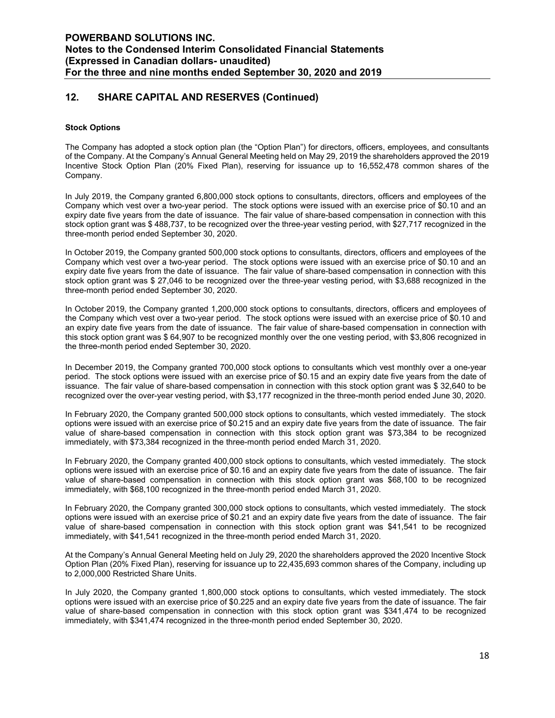# 12. SHARE CAPITAL AND RESERVES (Continued)

#### Stock Options

The Company has adopted a stock option plan (the "Option Plan") for directors, officers, employees, and consultants of the Company. At the Company's Annual General Meeting held on May 29, 2019 the shareholders approved the 2019 Incentive Stock Option Plan (20% Fixed Plan), reserving for issuance up to 16,552,478 common shares of the Company.

In July 2019, the Company granted 6,800,000 stock options to consultants, directors, officers and employees of the Company which vest over a two-year period. The stock options were issued with an exercise price of \$0.10 and an expiry date five years from the date of issuance. The fair value of share-based compensation in connection with this stock option grant was \$ 488,737, to be recognized over the three-year vesting period, with \$27,717 recognized in the three-month period ended September 30, 2020.

In October 2019, the Company granted 500,000 stock options to consultants, directors, officers and employees of the Company which vest over a two-year period. The stock options were issued with an exercise price of \$0.10 and an expiry date five years from the date of issuance. The fair value of share-based compensation in connection with this stock option grant was \$ 27,046 to be recognized over the three-year vesting period, with \$3,688 recognized in the three-month period ended September 30, 2020.

In October 2019, the Company granted 1,200,000 stock options to consultants, directors, officers and employees of the Company which vest over a two-year period. The stock options were issued with an exercise price of \$0.10 and an expiry date five years from the date of issuance. The fair value of share-based compensation in connection with this stock option grant was \$ 64,907 to be recognized monthly over the one vesting period, with \$3,806 recognized in the three-month period ended September 30, 2020.

In December 2019, the Company granted 700,000 stock options to consultants which vest monthly over a one-year period. The stock options were issued with an exercise price of \$0.15 and an expiry date five years from the date of issuance. The fair value of share-based compensation in connection with this stock option grant was \$ 32,640 to be recognized over the over-year vesting period, with \$3,177 recognized in the three-month period ended June 30, 2020.

In February 2020, the Company granted 500,000 stock options to consultants, which vested immediately. The stock options were issued with an exercise price of \$0.215 and an expiry date five years from the date of issuance. The fair value of share-based compensation in connection with this stock option grant was \$73,384 to be recognized immediately, with \$73,384 recognized in the three-month period ended March 31, 2020.

In February 2020, the Company granted 400,000 stock options to consultants, which vested immediately. The stock options were issued with an exercise price of \$0.16 and an expiry date five years from the date of issuance. The fair value of share-based compensation in connection with this stock option grant was \$68,100 to be recognized immediately, with \$68,100 recognized in the three-month period ended March 31, 2020.

In February 2020, the Company granted 300,000 stock options to consultants, which vested immediately. The stock options were issued with an exercise price of \$0.21 and an expiry date five years from the date of issuance. The fair value of share-based compensation in connection with this stock option grant was \$41,541 to be recognized immediately, with \$41,541 recognized in the three-month period ended March 31, 2020.

At the Company's Annual General Meeting held on July 29, 2020 the shareholders approved the 2020 Incentive Stock Option Plan (20% Fixed Plan), reserving for issuance up to 22,435,693 common shares of the Company, including up to 2,000,000 Restricted Share Units.

In July 2020, the Company granted 1,800,000 stock options to consultants, which vested immediately. The stock options were issued with an exercise price of \$0.225 and an expiry date five years from the date of issuance. The fair value of share-based compensation in connection with this stock option grant was \$341,474 to be recognized immediately, with \$341,474 recognized in the three-month period ended September 30, 2020.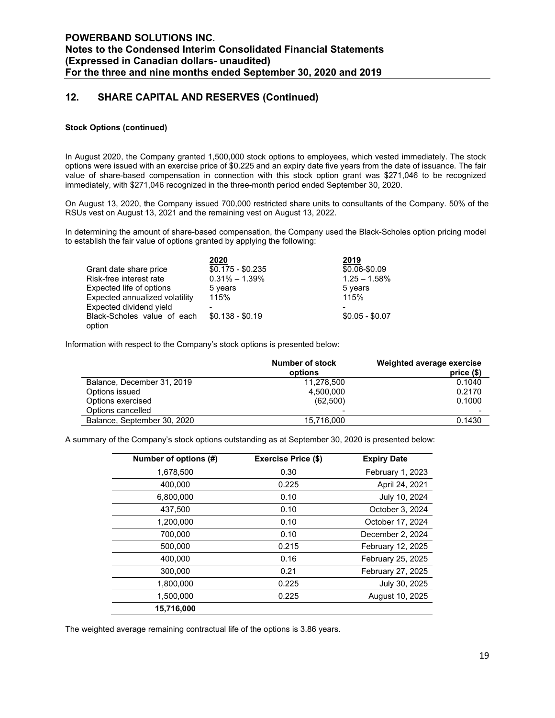# 12. SHARE CAPITAL AND RESERVES (Continued)

#### Stock Options (continued)

In August 2020, the Company granted 1,500,000 stock options to employees, which vested immediately. The stock options were issued with an exercise price of \$0.225 and an expiry date five years from the date of issuance. The fair value of share-based compensation in connection with this stock option grant was \$271,046 to be recognized immediately, with \$271,046 recognized in the three-month period ended September 30, 2020.

On August 13, 2020, the Company issued 700,000 restricted share units to consultants of the Company. 50% of the RSUs vest on August 13, 2021 and the remaining vest on August 13, 2022.

In determining the amount of share-based compensation, the Company used the Black-Scholes option pricing model to establish the fair value of options granted by applying the following:

|                                       | 2020              | 2019            |
|---------------------------------------|-------------------|-----------------|
| Grant date share price                | $$0.175 - $0.235$ | \$0.06-\$0.09   |
| Risk-free interest rate               | $0.31\% - 1.39\%$ | $1.25 - 1.58%$  |
| Expected life of options              | 5 years           | 5 years         |
| Expected annualized volatility        | 115%              | 115%            |
| Expected dividend yield               |                   |                 |
| Black-Scholes value of each<br>option | $$0.138 - $0.19$  | $$0.05 - $0.07$ |

Information with respect to the Company's stock options is presented below:

| Number of stock<br>options | Weighted average exercise<br>price $(\$)$ |
|----------------------------|-------------------------------------------|
| 11,278,500                 | 0.1040                                    |
| 4.500.000                  | 0.2170                                    |
| (62,500)                   | 0.1000                                    |
| -                          |                                           |
| 15.716.000                 | 0.1430                                    |
|                            |                                           |

A summary of the Company's stock options outstanding as at September 30, 2020 is presented below:

| Number of options (#) | <b>Exercise Price (\$)</b> | <b>Expiry Date</b> |
|-----------------------|----------------------------|--------------------|
| 1,678,500             | 0.30                       | February 1, 2023   |
| 400.000               | 0.225                      | April 24, 2021     |
| 6.800.000             | 0.10                       | July 10, 2024      |
| 437,500               | 0.10                       | October 3, 2024    |
| 1,200,000             | 0.10                       | October 17, 2024   |
| 700,000               | 0.10                       | December 2, 2024   |
| 500,000               | 0.215                      | February 12, 2025  |
| 400,000               | 0.16                       | February 25, 2025  |
| 300,000               | 0.21                       | February 27, 2025  |
| 1.800.000             | 0.225                      | July 30, 2025      |
| 1,500,000             | 0.225                      | August 10, 2025    |
| 15,716,000            |                            |                    |

The weighted average remaining contractual life of the options is 3.86 years.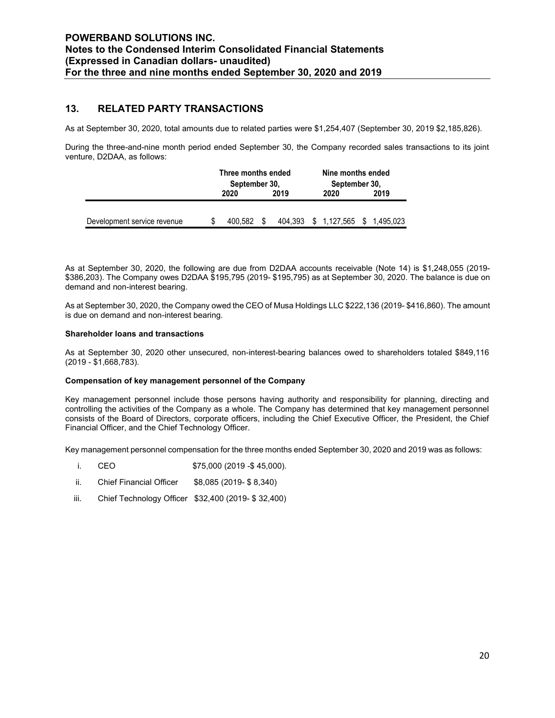### 13. RELATED PARTY TRANSACTIONS

| WERBAND SOLUTIONS INC.<br>es to the Condensed Interim Consolidated Financial Statements<br>pressed in Canadian dollars- unaudited)<br>the three and nine months ended September 30, 2020 and 2019 |      |                                             |                                            |      |  |
|---------------------------------------------------------------------------------------------------------------------------------------------------------------------------------------------------|------|---------------------------------------------|--------------------------------------------|------|--|
|                                                                                                                                                                                                   |      |                                             |                                            |      |  |
| <b>RELATED PARTY TRANSACTIONS</b>                                                                                                                                                                 |      |                                             |                                            |      |  |
| t September 30, 2020, total amounts due to related parties were \$1,254,407 (September 30, 2019 \$2,185,826).                                                                                     |      |                                             |                                            |      |  |
|                                                                                                                                                                                                   |      |                                             |                                            |      |  |
|                                                                                                                                                                                                   |      |                                             |                                            |      |  |
| ng the three-and-nine month period ended September 30, the Company recorded sales transactions to its joint<br>ure, D2DAA, as follows:                                                            | 2020 | Three months ended<br>September 30,<br>2019 | Nine months ended<br>September 30,<br>2020 | 2019 |  |

As at September 30, 2020, the following are due from D2DAA accounts receivable (Note 14) is \$1,248,055 (2019- \$386,203). The Company owes D2DAA \$195,795 (2019- \$195,795) as at September 30, 2020. The balance is due on demand and non-interest bearing.

As at September 30, 2020, the Company owed the CEO of Musa Holdings LLC \$222,136 (2019- \$416,860). The amount is due on demand and non-interest bearing.

#### Shareholder loans and transactions

As at September 30, 2020 other unsecured, non-interest-bearing balances owed to shareholders totaled \$849,116 (2019 - \$1,668,783).

#### Compensation of key management personnel of the Company

Key management personnel include those persons having authority and responsibility for planning, directing and controlling the activities of the Company as a whole. The Company has determined that key management personnel consists of the Board of Directors, corporate officers, including the Chief Executive Officer, the President, the Chief Financial Officer, and the Chief Technology Officer.

Key management personnel compensation for the three months ended September 30, 2020 and 2019 was as follows:

- i. CEO \$75,000 (2019 -\$ 45,000).
- ii. Chief Financial Officer \$8,085 (2019- \$ 8,340)
- iii. Chief Technology Officer \$32,400 (2019- \$ 32,400)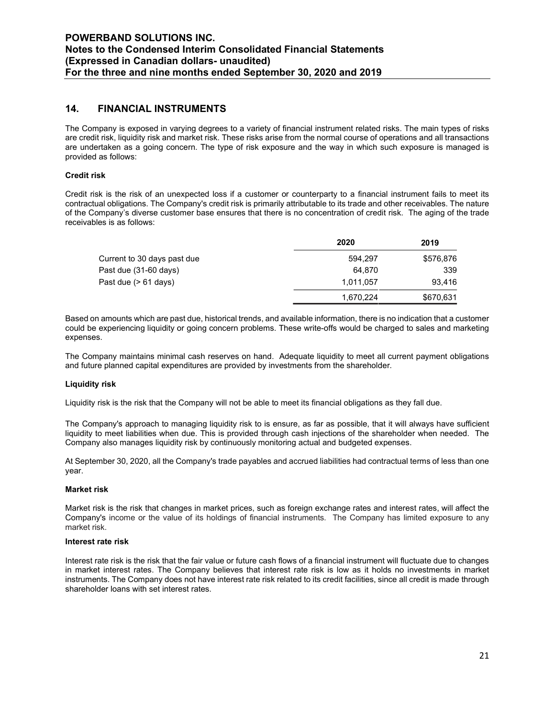### 14. FINANCIAL INSTRUMENTS

The Company is exposed in varying degrees to a variety of financial instrument related risks. The main types of risks are credit risk, liquidity risk and market risk. These risks arise from the normal course of operations and all transactions are undertaken as a going concern. The type of risk exposure and the way in which such exposure is managed is provided as follows:

#### Credit risk

Credit risk is the risk of an unexpected loss if a customer or counterparty to a financial instrument fails to meet its contractual obligations. The Company's credit risk is primarily attributable to its trade and other receivables. The nature of the Company's diverse customer base ensures that there is no concentration of credit risk. The aging of the trade receivables is as follows:

|                             | 2020      | 2019      |
|-----------------------------|-----------|-----------|
| Current to 30 days past due | 594.297   | \$576,876 |
| Past due (31-60 days)       | 64.870    | 339       |
| Past due (> 61 days)        | 1,011,057 | 93.416    |
|                             | 1,670,224 | \$670,631 |

Based on amounts which are past due, historical trends, and available information, there is no indication that a customer could be experiencing liquidity or going concern problems. These write-offs would be charged to sales and marketing expenses.

The Company maintains minimal cash reserves on hand. Adequate liquidity to meet all current payment obligations and future planned capital expenditures are provided by investments from the shareholder.

#### Liquidity risk

Liquidity risk is the risk that the Company will not be able to meet its financial obligations as they fall due.

The Company's approach to managing liquidity risk to is ensure, as far as possible, that it will always have sufficient liquidity to meet liabilities when due. This is provided through cash injections of the shareholder when needed. The Company also manages liquidity risk by continuously monitoring actual and budgeted expenses.

At September 30, 2020, all the Company's trade payables and accrued liabilities had contractual terms of less than one year.

#### Market risk

Market risk is the risk that changes in market prices, such as foreign exchange rates and interest rates, will affect the Company's income or the value of its holdings of financial instruments. The Company has limited exposure to any market risk.

#### Interest rate risk

Interest rate risk is the risk that the fair value or future cash flows of a financial instrument will fluctuate due to changes in market interest rates. The Company believes that interest rate risk is low as it holds no investments in market instruments. The Company does not have interest rate risk related to its credit facilities, since all credit is made through shareholder loans with set interest rates.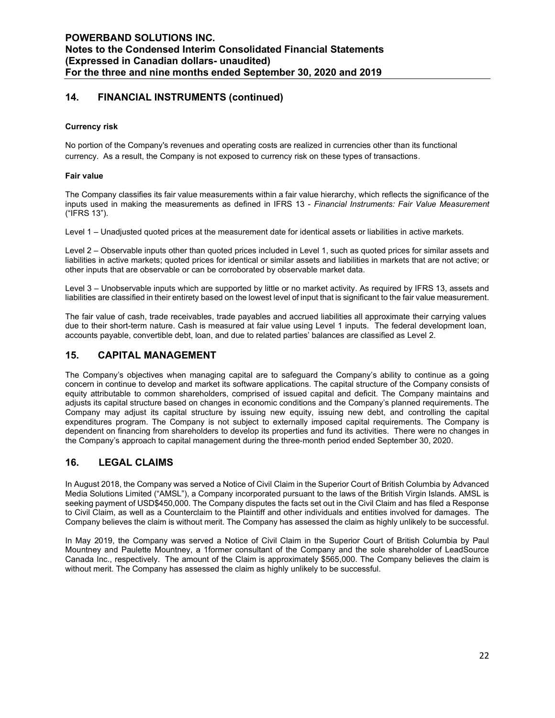# 14. FINANCIAL INSTRUMENTS (continued)

#### Currency risk

No portion of the Company's revenues and operating costs are realized in currencies other than its functional currency. As a result, the Company is not exposed to currency risk on these types of transactions.

#### Fair value

The Company classifies its fair value measurements within a fair value hierarchy, which reflects the significance of the inputs used in making the measurements as defined in IFRS 13 - Financial Instruments: Fair Value Measurement ("IFRS 13").

Level 1 – Unadjusted quoted prices at the measurement date for identical assets or liabilities in active markets.

Level 2 – Observable inputs other than quoted prices included in Level 1, such as quoted prices for similar assets and liabilities in active markets; quoted prices for identical or similar assets and liabilities in markets that are not active; or other inputs that are observable or can be corroborated by observable market data.

Level 3 – Unobservable inputs which are supported by little or no market activity. As required by IFRS 13, assets and liabilities are classified in their entirety based on the lowest level of input that is significant to the fair value measurement.

The fair value of cash, trade receivables, trade payables and accrued liabilities all approximate their carrying values due to their short-term nature. Cash is measured at fair value using Level 1 inputs. The federal development loan, accounts payable, convertible debt, loan, and due to related parties' balances are classified as Level 2.

### 15. CAPITAL MANAGEMENT

The Company's objectives when managing capital are to safeguard the Company's ability to continue as a going concern in continue to develop and market its software applications. The capital structure of the Company consists of equity attributable to common shareholders, comprised of issued capital and deficit. The Company maintains and adjusts its capital structure based on changes in economic conditions and the Company's planned requirements. The Company may adjust its capital structure by issuing new equity, issuing new debt, and controlling the capital expenditures program. The Company is not subject to externally imposed capital requirements. The Company is dependent on financing from shareholders to develop its properties and fund its activities. There were no changes in the Company's approach to capital management during the three-month period ended September 30, 2020.

# 16. LEGAL CLAIMS

In August 2018, the Company was served a Notice of Civil Claim in the Superior Court of British Columbia by Advanced Media Solutions Limited ("AMSL"), a Company incorporated pursuant to the laws of the British Virgin Islands. AMSL is seeking payment of USD\$450,000. The Company disputes the facts set out in the Civil Claim and has filed a Response to Civil Claim, as well as a Counterclaim to the Plaintiff and other individuals and entities involved for damages. The Company believes the claim is without merit. The Company has assessed the claim as highly unlikely to be successful.

In May 2019, the Company was served a Notice of Civil Claim in the Superior Court of British Columbia by Paul Mountney and Paulette Mountney, a 1former consultant of the Company and the sole shareholder of LeadSource Canada Inc., respectively. The amount of the Claim is approximately \$565,000. The Company believes the claim is without merit. The Company has assessed the claim as highly unlikely to be successful.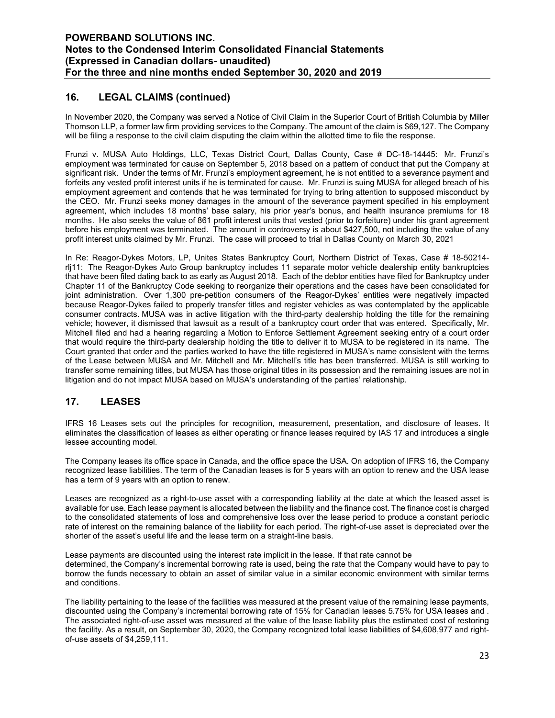# 16. LEGAL CLAIMS (continued)

In November 2020, the Company was served a Notice of Civil Claim in the Superior Court of British Columbia by Miller Thomson LLP, a former law firm providing services to the Company. The amount of the claim is \$69,127. The Company will be filing a response to the civil claim disputing the claim within the allotted time to file the response.

Frunzi v. MUSA Auto Holdings, LLC, Texas District Court, Dallas County, Case # DC-18-14445: Mr. Frunzi's employment was terminated for cause on September 5, 2018 based on a pattern of conduct that put the Company at significant risk. Under the terms of Mr. Frunzi's employment agreement, he is not entitled to a severance payment and forfeits any vested profit interest units if he is terminated for cause. Mr. Frunzi is suing MUSA for alleged breach of his employment agreement and contends that he was terminated for trying to bring attention to supposed misconduct by the CEO. Mr. Frunzi seeks money damages in the amount of the severance payment specified in his employment agreement, which includes 18 months' base salary, his prior year's bonus, and health insurance premiums for 18 months. He also seeks the value of 861 profit interest units that vested (prior to forfeiture) under his grant agreement before his employment was terminated. The amount in controversy is about \$427,500, not including the value of any profit interest units claimed by Mr. Frunzi. The case will proceed to trial in Dallas County on March 30, 2021

In Re: Reagor-Dykes Motors, LP, Unites States Bankruptcy Court, Northern District of Texas, Case # 18-50214 rlj11: The Reagor-Dykes Auto Group bankruptcy includes 11 separate motor vehicle dealership entity bankruptcies that have been filed dating back to as early as August 2018. Each of the debtor entities have filed for Bankruptcy under Chapter 11 of the Bankruptcy Code seeking to reorganize their operations and the cases have been consolidated for joint administration. Over 1,300 pre-petition consumers of the Reagor-Dykes' entities were negatively impacted because Reagor-Dykes failed to properly transfer titles and register vehicles as was contemplated by the applicable consumer contracts. MUSA was in active litigation with the third-party dealership holding the title for the remaining vehicle; however, it dismissed that lawsuit as a result of a bankruptcy court order that was entered. Specifically, Mr. Mitchell filed and had a hearing regarding a Motion to Enforce Settlement Agreement seeking entry of a court order that would require the third-party dealership holding the title to deliver it to MUSA to be registered in its name. The Court granted that order and the parties worked to have the title registered in MUSA's name consistent with the terms of the Lease between MUSA and Mr. Mitchell and Mr. Mitchell's title has been transferred. MUSA is still working to transfer some remaining titles, but MUSA has those original titles in its possession and the remaining issues are not in litigation and do not impact MUSA based on MUSA's understanding of the parties' relationship.

# 17. LEASES

IFRS 16 Leases sets out the principles for recognition, measurement, presentation, and disclosure of leases. It eliminates the classification of leases as either operating or finance leases required by IAS 17 and introduces a single lessee accounting model.

The Company leases its office space in Canada, and the office space the USA. On adoption of IFRS 16, the Company recognized lease liabilities. The term of the Canadian leases is for 5 years with an option to renew and the USA lease has a term of 9 years with an option to renew.

Leases are recognized as a right-to-use asset with a corresponding liability at the date at which the leased asset is available for use. Each lease payment is allocated between the liability and the finance cost. The finance cost is charged to the consolidated statements of loss and comprehensive loss over the lease period to produce a constant periodic rate of interest on the remaining balance of the liability for each period. The right-of-use asset is depreciated over the shorter of the asset's useful life and the lease term on a straight-line basis.

Lease payments are discounted using the interest rate implicit in the lease. If that rate cannot be determined, the Company's incremental borrowing rate is used, being the rate that the Company would have to pay to borrow the funds necessary to obtain an asset of similar value in a similar economic environment with similar terms and conditions.

The liability pertaining to the lease of the facilities was measured at the present value of the remaining lease payments, discounted using the Company's incremental borrowing rate of 15% for Canadian leases 5.75% for USA leases and . The associated right-of-use asset was measured at the value of the lease liability plus the estimated cost of restoring the facility. As a result, on September 30, 2020, the Company recognized total lease liabilities of \$4,608,977 and rightof-use assets of \$4,259,111.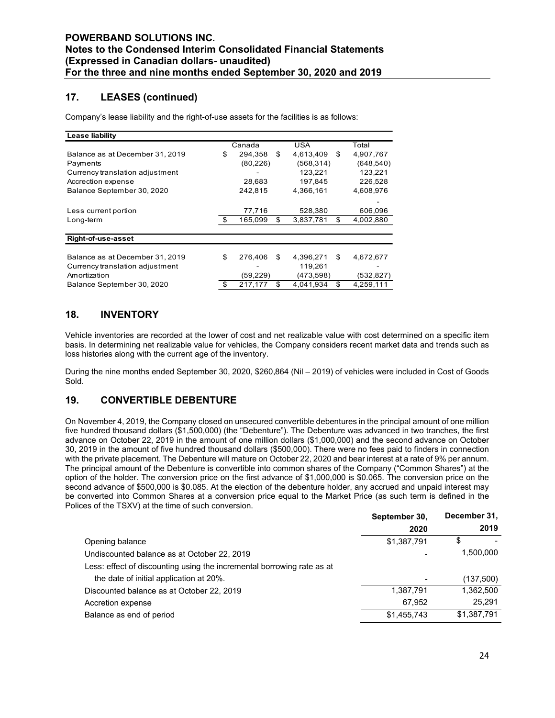# 17. LEASES (continued)

| <b>POWERBAND SOLUTIONS INC.</b>                                                         |                 |                       |                       |
|-----------------------------------------------------------------------------------------|-----------------|-----------------------|-----------------------|
| Notes to the Condensed Interim Consolidated Financial Statements                        |                 |                       |                       |
| (Expressed in Canadian dollars- unaudited)                                              |                 |                       |                       |
| For the three and nine months ended September 30, 2020 and 2019                         |                 |                       |                       |
|                                                                                         |                 |                       |                       |
| <b>LEASES (continued)</b><br>17.                                                        |                 |                       |                       |
|                                                                                         |                 |                       |                       |
| Company's lease liability and the right-of-use assets for the facilities is as follows: |                 |                       |                       |
| Lease liability                                                                         |                 |                       |                       |
|                                                                                         | Canada          | <b>USA</b>            | Total                 |
| Balance as at December 31, 2019                                                         | \$<br>294,358   | \$<br>4,613,409       | \$<br>4,907,767       |
| Payments<br>Currency translation adjustment                                             | (80, 226)       | (568, 314)<br>123,221 | (648, 540)<br>123,221 |
| Accrection expense                                                                      | 28,683          | 197,845               | 226,528               |
| Balance September 30, 2020                                                              | 242,815         | 4,366,161             | 4,608,976             |
|                                                                                         |                 |                       |                       |
|                                                                                         | 77,716          | 528,380               | 606,096               |
| Less current portion                                                                    |                 | \$<br>3,837,781       | \$<br>4,002,880       |
| Long-term                                                                               | \$<br>165,099   |                       |                       |
| <b>Right-of-use-asset</b>                                                               |                 |                       |                       |
|                                                                                         |                 |                       |                       |
| Balance as at December 31, 2019                                                         | \$<br>276,406   | \$<br>4,396,271       | \$<br>4,672,677       |
| Currency translation adjustment                                                         |                 | 119,261               |                       |
| Amortization                                                                            | \$<br>(59, 229) | \$<br>(473, 598)      | (532, 827)            |
| Balance September 30, 2020                                                              | 217,177         | 4,041,934             | \$<br>4,259,111       |
| 18.<br><b>INVENTORY</b>                                                                 |                 |                       |                       |

# 18. INVENTORY

Vehicle inventories are recorded at the lower of cost and net realizable value with cost determined on a specific item basis. In determining net realizable value for vehicles, the Company considers recent market data and trends such as loss histories along with the current age of the inventory.

During the nine months ended September 30, 2020, \$260,864 (Nil – 2019) of vehicles were included in Cost of Goods Sold.

### 19. CONVERTIBLE DEBENTURE

On November 4, 2019, the Company closed on unsecured convertible debentures in the principal amount of one million five hundred thousand dollars (\$1,500,000) (the "Debenture"). The Debenture was advanced in two tranches, the first advance on October 22, 2019 in the amount of one million dollars (\$1,000,000) and the second advance on October 30, 2019 in the amount of five hundred thousand dollars (\$500,000). There were no fees paid to finders in connection with the private placement. The Debenture will mature on October 22, 2020 and bear interest at a rate of 9% per annum. The principal amount of the Debenture is convertible into common shares of the Company ("Common Shares") at the option of the holder. The conversion price on the first advance of \$1,000,000 is \$0.065. The conversion price on the second advance of \$500,000 is \$0.085. At the election of the debenture holder, any accrued and unpaid interest may be converted into Common Shares at a conversion price equal to the Market Price (as such term is defined in the Polices of the TSXV) at the time of such conversion.

|                                                                        | September 30, | December 31, |
|------------------------------------------------------------------------|---------------|--------------|
|                                                                        | 2020          | 2019         |
| Opening balance                                                        | \$1,387,791   | \$           |
| Undiscounted balance as at October 22, 2019                            |               | 1,500,000    |
| Less: effect of discounting using the incremental borrowing rate as at |               |              |
| the date of initial application at 20%.                                |               | (137,500)    |
| Discounted balance as at October 22, 2019                              | 1,387,791     | 1,362,500    |
| Accretion expense                                                      | 67,952        | 25,291       |
| Balance as end of period                                               | \$1,455,743   | \$1,387,791  |
|                                                                        |               |              |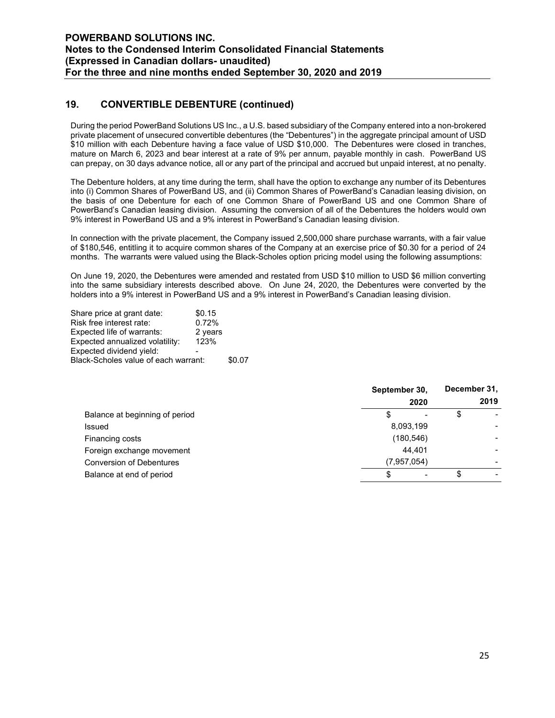# 19. CONVERTIBLE DEBENTURE (continued)

During the period PowerBand Solutions US Inc., a U.S. based subsidiary of the Company entered into a non-brokered private placement of unsecured convertible debentures (the "Debentures") in the aggregate principal amount of USD \$10 million with each Debenture having a face value of USD \$10,000. The Debentures were closed in tranches, mature on March 6, 2023 and bear interest at a rate of 9% per annum, payable monthly in cash. PowerBand US can prepay, on 30 days advance notice, all or any part of the principal and accrued but unpaid interest, at no penalty.

The Debenture holders, at any time during the term, shall have the option to exchange any number of its Debentures into (i) Common Shares of PowerBand US, and (ii) Common Shares of PowerBand's Canadian leasing division, on the basis of one Debenture for each of one Common Share of PowerBand US and one Common Share of PowerBand's Canadian leasing division. Assuming the conversion of all of the Debentures the holders would own 9% interest in PowerBand US and a 9% interest in PowerBand's Canadian leasing division.

In connection with the private placement, the Company issued 2,500,000 share purchase warrants, with a fair value of \$180,546, entitling it to acquire common shares of the Company at an exercise price of \$0.30 for a period of 24 months. The warrants were valued using the Black-Scholes option pricing model using the following assumptions:

On June 19, 2020, the Debentures were amended and restated from USD \$10 million to USD \$6 million converting into the same subsidiary interests described above. On June 24, 2020, the Debentures were converted by the holders into a 9% interest in PowerBand US and a 9% interest in PowerBand's Canadian leasing division.

| Share price at grant date:           | \$0.15  |        |
|--------------------------------------|---------|--------|
| Risk free interest rate:             | 0.72%   |        |
| Expected life of warrants:           | 2 years |        |
| Expected annualized volatility:      | 123%    |        |
| Expected dividend yield:             |         |        |
| Black-Scholes value of each warrant: |         | \$0.07 |

|                                 | September 30,<br>2020 | December 31,<br>2019 |
|---------------------------------|-----------------------|----------------------|
| Balance at beginning of period  | S                     | \$                   |
| <b>Issued</b>                   | 8,093,199             |                      |
| Financing costs                 | (180, 546)            |                      |
| Foreign exchange movement       | 44.401                |                      |
| <b>Conversion of Debentures</b> | (7,957,054)           |                      |
| Balance at end of period        | \$                    |                      |
|                                 |                       |                      |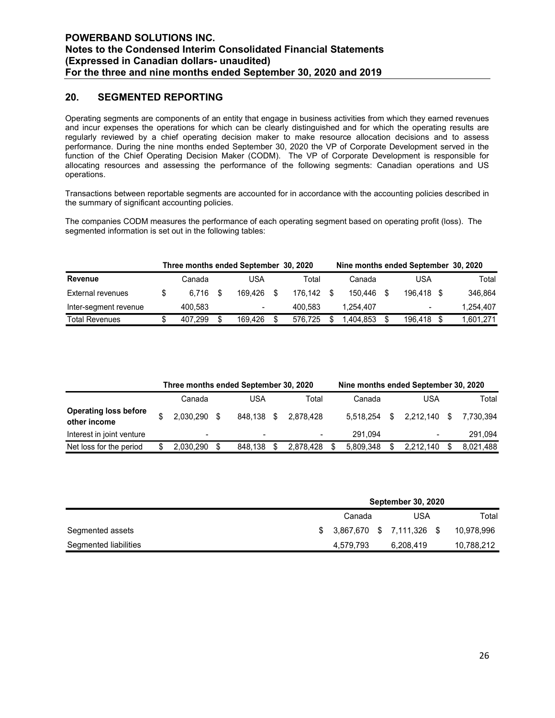### 20. SEGMENTED REPORTING

| For the three and nine months ended September 30, 2020 and 2019                                                                                                                                                                                                                                                                                                                                                                                                                                                                                                                                                                                                                                           |             |      | (Expressed in Canadian dollars- unaudited) |            |                                      |            |           |
|-----------------------------------------------------------------------------------------------------------------------------------------------------------------------------------------------------------------------------------------------------------------------------------------------------------------------------------------------------------------------------------------------------------------------------------------------------------------------------------------------------------------------------------------------------------------------------------------------------------------------------------------------------------------------------------------------------------|-------------|------|--------------------------------------------|------------|--------------------------------------|------------|-----------|
| 20.<br><b>SEGMENTED REPORTING</b>                                                                                                                                                                                                                                                                                                                                                                                                                                                                                                                                                                                                                                                                         |             |      |                                            |            |                                      |            |           |
| Operating segments are components of an entity that engage in business activities from which they earned revenues<br>and incur expenses the operations for which can be clearly distinguished and for which the operating results are<br>regularly reviewed by a chief operating decision maker to make resource allocation decisions and to assess<br>performance. During the nine months ended September 30, 2020 the VP of Corporate Development served in the<br>function of the Chief Operating Decision Maker (CODM). The VP of Corporate Development is responsible for<br>allocating resources and assessing the performance of the following segments: Canadian operations and US<br>operations. |             |      |                                            |            |                                      |            |           |
|                                                                                                                                                                                                                                                                                                                                                                                                                                                                                                                                                                                                                                                                                                           |             |      |                                            |            |                                      |            |           |
| Transactions between reportable segments are accounted for in accordance with the accounting policies described in<br>the summary of significant accounting policies.                                                                                                                                                                                                                                                                                                                                                                                                                                                                                                                                     |             |      |                                            |            |                                      |            |           |
| The companies CODM measures the performance of each operating segment based on operating profit (loss). The<br>segmented information is set out in the following tables:                                                                                                                                                                                                                                                                                                                                                                                                                                                                                                                                  |             |      |                                            |            |                                      |            |           |
|                                                                                                                                                                                                                                                                                                                                                                                                                                                                                                                                                                                                                                                                                                           |             |      | Three months ended September 30, 2020      |            | Nine months ended September 30, 2020 |            |           |
| <b>Revenue</b>                                                                                                                                                                                                                                                                                                                                                                                                                                                                                                                                                                                                                                                                                            | Canada      |      | <b>USA</b>                                 | Total      | Canada                               | <b>USA</b> | Total     |
| <b>External revenues</b>                                                                                                                                                                                                                                                                                                                                                                                                                                                                                                                                                                                                                                                                                  | \$<br>6,716 | - \$ | 169,426 \$                                 | 176,142 \$ | 150,446 \$                           | 196,418 \$ | 346,864   |
| Inter-segment revenue                                                                                                                                                                                                                                                                                                                                                                                                                                                                                                                                                                                                                                                                                     | 400,583     |      |                                            | 400,583    | 1,254,407                            |            | 1,254,407 |

|                                                                                                                                                                          | the summary of significant accounting policies. |     |            |            |                 |                                                    |            |
|--------------------------------------------------------------------------------------------------------------------------------------------------------------------------|-------------------------------------------------|-----|------------|------------|-----------------|----------------------------------------------------|------------|
| The companies CODM measures the performance of each operating segment based on operating profit (loss). The<br>segmented information is set out in the following tables: |                                                 |     |            |            |                 |                                                    |            |
|                                                                                                                                                                          | Three months ended September 30, 2020           |     |            |            |                 | Nine months ended September 30, 2020               |            |
| Revenue                                                                                                                                                                  | Canada                                          |     | <b>USA</b> | Total      | Canada          | <b>USA</b>                                         | Total      |
| <b>External revenues</b>                                                                                                                                                 | \$<br>6,716                                     | -\$ | 169,426 \$ | 176,142 \$ | 150,446 \$      | 196,418 \$                                         | 346,864    |
| Inter-segment revenue                                                                                                                                                    | 400,583                                         |     |            | 400,583    | 1,254,407       |                                                    | 1,254,407  |
| <b>Total Revenues</b>                                                                                                                                                    | \$<br>407,299 \$                                |     | 169,426 \$ | 576,725 \$ | 1,404,853 \$    | 196,418 \$                                         | 1,601,271  |
| <b>Operating loss before</b>                                                                                                                                             | Three months ended September 30, 2020<br>Canada |     | <b>USA</b> | Total      | Canada          | Nine months ended September 30, 2020<br><b>USA</b> | Total      |
| other income                                                                                                                                                             | \$<br>2,030,290 \$                              |     | 848,138 \$ | 2,878,428  | 5,518,254       | \$<br>2,212,140 \$                                 | 7,730,394  |
|                                                                                                                                                                          |                                                 |     |            |            | 291,094         |                                                    | 291,094    |
|                                                                                                                                                                          |                                                 |     |            |            |                 |                                                    |            |
| Interest in joint venture<br>Net loss for the period                                                                                                                     | \$<br>2,030,290 \$                              |     | 848,138 \$ | 2,878,428  | \$<br>5,809,348 | \$<br>2,212,140 \$                                 | 8,021,488  |
|                                                                                                                                                                          |                                                 |     |            |            |                 | September 30, 2020                                 |            |
|                                                                                                                                                                          |                                                 |     |            |            | Canada          | <b>USA</b>                                         | Total      |
| Segmented assets                                                                                                                                                         |                                                 |     |            | \$         | 3,867,670<br>\$ | 7,111,326 \$                                       | 10,978,996 |

|                       |  | Canada                    | USA       | Total      |
|-----------------------|--|---------------------------|-----------|------------|
| Segmented assets      |  | \$ 3,867,670 \$ 7,111,326 | - \$      | 10.978.996 |
| Segmented liabilities |  | 4,579,793                 | 6,208,419 | 10,788,212 |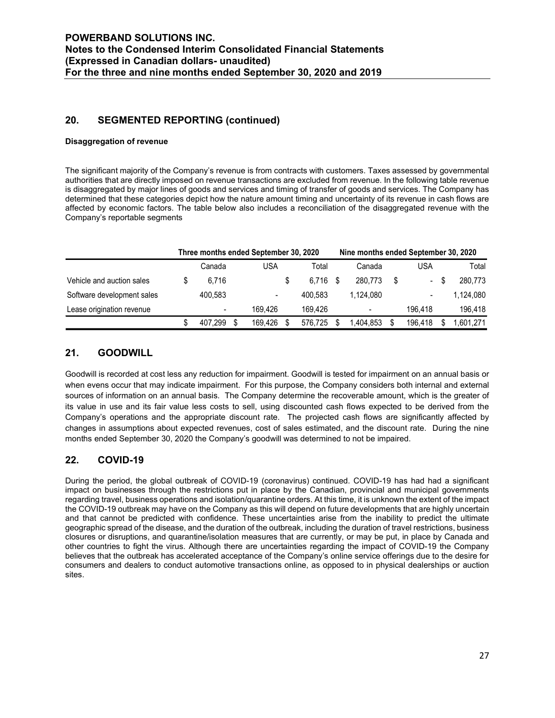### 20. SEGMENTED REPORTING (continued)

#### Disaggregation of revenue

| (Expressed in Canadian dollars- unaudited)<br>For the three and nine months ended September 30, 2020 and 2019                                                                                                                                                                                                                                                                                                                                                                                                                  |                                                 |            |                  | Notes to the Condensed Interim Consolidated Financial Statements |            |   |           |
|--------------------------------------------------------------------------------------------------------------------------------------------------------------------------------------------------------------------------------------------------------------------------------------------------------------------------------------------------------------------------------------------------------------------------------------------------------------------------------------------------------------------------------|-------------------------------------------------|------------|------------------|------------------------------------------------------------------|------------|---|-----------|
| 20.<br><b>SEGMENTED REPORTING (continued)</b>                                                                                                                                                                                                                                                                                                                                                                                                                                                                                  |                                                 |            |                  |                                                                  |            |   |           |
| <b>Disaggregation of revenue</b>                                                                                                                                                                                                                                                                                                                                                                                                                                                                                               |                                                 |            |                  |                                                                  |            |   |           |
| The significant majority of the Company's revenue is from contracts with customers. Taxes assessed by governmental                                                                                                                                                                                                                                                                                                                                                                                                             |                                                 |            |                  |                                                                  |            |   |           |
| authorities that are directly imposed on revenue transactions are excluded from revenue. In the following table revenue<br>is disaggregated by major lines of goods and services and timing of transfer of goods and services. The Company has<br>determined that these categories depict how the nature amount timing and uncertainty of its revenue in cash flows are<br>affected by economic factors. The table below also includes a reconciliation of the disaggregated revenue with the<br>Company's reportable segments |                                                 |            |                  |                                                                  |            |   |           |
|                                                                                                                                                                                                                                                                                                                                                                                                                                                                                                                                | Three months ended September 30, 2020<br>Canada | <b>USA</b> | Total            | Nine months ended September 30, 2020<br>Canada                   | <b>USA</b> |   | Total     |
| Vehicle and auction sales                                                                                                                                                                                                                                                                                                                                                                                                                                                                                                      | \$<br>6,716                                     |            | \$<br>$6,716$ \$ | 280,773                                                          | \$         | S | 280,773   |
| Software development sales                                                                                                                                                                                                                                                                                                                                                                                                                                                                                                     | 400,583                                         |            | 400,583          | 1,124,080                                                        |            |   | 1,124,080 |
| Lease origination revenue                                                                                                                                                                                                                                                                                                                                                                                                                                                                                                      |                                                 | 169,426    | 169,426          |                                                                  | 196,418    |   | 196,418   |

### 21. GOODWILL

Goodwill is recorded at cost less any reduction for impairment. Goodwill is tested for impairment on an annual basis or when evens occur that may indicate impairment. For this purpose, the Company considers both internal and external sources of information on an annual basis. The Company determine the recoverable amount, which is the greater of its value in use and its fair value less costs to sell, using discounted cash flows expected to be derived from the Company's operations and the appropriate discount rate. The projected cash flows are significantly affected by changes in assumptions about expected revenues, cost of sales estimated, and the discount rate. During the nine months ended September 30, 2020 the Company's goodwill was determined to not be impaired.

### 22. COVID-19

During the period, the global outbreak of COVID-19 (coronavirus) continued. COVID-19 has had had a significant impact on businesses through the restrictions put in place by the Canadian, provincial and municipal governments regarding travel, business operations and isolation/quarantine orders. At this time, it is unknown the extent of the impact the COVID-19 outbreak may have on the Company as this will depend on future developments that are highly uncertain and that cannot be predicted with confidence. These uncertainties arise from the inability to predict the ultimate geographic spread of the disease, and the duration of the outbreak, including the duration of travel restrictions, business closures or disruptions, and quarantine/isolation measures that are currently, or may be put, in place by Canada and other countries to fight the virus. Although there are uncertainties regarding the impact of COVID-19 the Company believes that the outbreak has accelerated acceptance of the Company's online service offerings due to the desire for consumers and dealers to conduct automotive transactions online, as opposed to in physical dealerships or auction sites.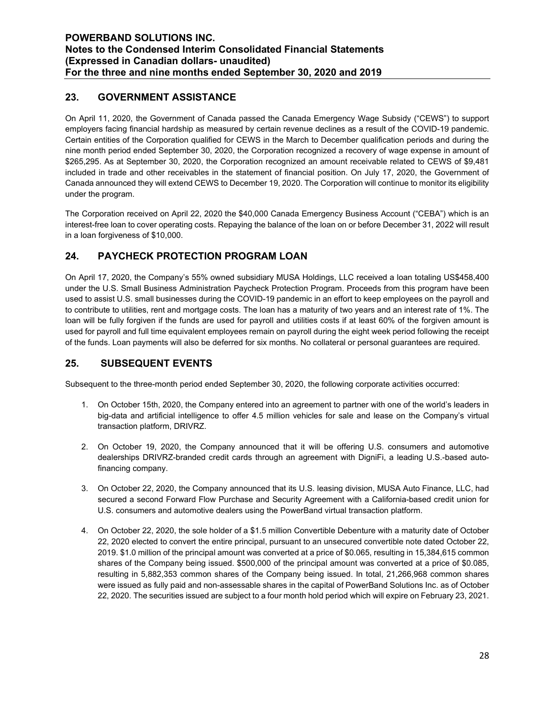# 23. GOVERNMENT ASSISTANCE

On April 11, 2020, the Government of Canada passed the Canada Emergency Wage Subsidy ("CEWS") to support employers facing financial hardship as measured by certain revenue declines as a result of the COVID-19 pandemic. Certain entities of the Corporation qualified for CEWS in the March to December qualification periods and during the nine month period ended September 30, 2020, the Corporation recognized a recovery of wage expense in amount of \$265,295. As at September 30, 2020, the Corporation recognized an amount receivable related to CEWS of \$9,481 included in trade and other receivables in the statement of financial position. On July 17, 2020, the Government of Canada announced they will extend CEWS to December 19, 2020. The Corporation will continue to monitor its eligibility under the program.

The Corporation received on April 22, 2020 the \$40,000 Canada Emergency Business Account ("CEBA") which is an interest-free loan to cover operating costs. Repaying the balance of the loan on or before December 31, 2022 will result in a loan forgiveness of \$10,000.

# 24. PAYCHECK PROTECTION PROGRAM LOAN

On April 17, 2020, the Company's 55% owned subsidiary MUSA Holdings, LLC received a loan totaling US\$458,400 under the U.S. Small Business Administration Paycheck Protection Program. Proceeds from this program have been used to assist U.S. small businesses during the COVID-19 pandemic in an effort to keep employees on the payroll and to contribute to utilities, rent and mortgage costs. The loan has a maturity of two years and an interest rate of 1%. The loan will be fully forgiven if the funds are used for payroll and utilities costs if at least 60% of the forgiven amount is used for payroll and full time equivalent employees remain on payroll during the eight week period following the receipt of the funds. Loan payments will also be deferred for six months. No collateral or personal guarantees are required.

# 25. SUBSEQUENT EVENTS

Subsequent to the three-month period ended September 30, 2020, the following corporate activities occurred:

- 1. On October 15th, 2020, the Company entered into an agreement to partner with one of the world's leaders in big-data and artificial intelligence to offer 4.5 million vehicles for sale and lease on the Company's virtual transaction platform, DRIVRZ.
- 2. On October 19, 2020, the Company announced that it will be offering U.S. consumers and automotive dealerships DRIVRZ-branded credit cards through an agreement with DigniFi, a leading U.S.-based autofinancing company.
- 3. On October 22, 2020, the Company announced that its U.S. leasing division, MUSA Auto Finance, LLC, had secured a second Forward Flow Purchase and Security Agreement with a California-based credit union for U.S. consumers and automotive dealers using the PowerBand virtual transaction platform.
- 4. On October 22, 2020, the sole holder of a \$1.5 million Convertible Debenture with a maturity date of October 22, 2020 elected to convert the entire principal, pursuant to an unsecured convertible note dated October 22, 2019. \$1.0 million of the principal amount was converted at a price of \$0.065, resulting in 15,384,615 common shares of the Company being issued. \$500,000 of the principal amount was converted at a price of \$0.085, resulting in 5,882,353 common shares of the Company being issued. In total, 21,266,968 common shares were issued as fully paid and non-assessable shares in the capital of PowerBand Solutions Inc. as of October 22, 2020. The securities issued are subject to a four month hold period which will expire on February 23, 2021.